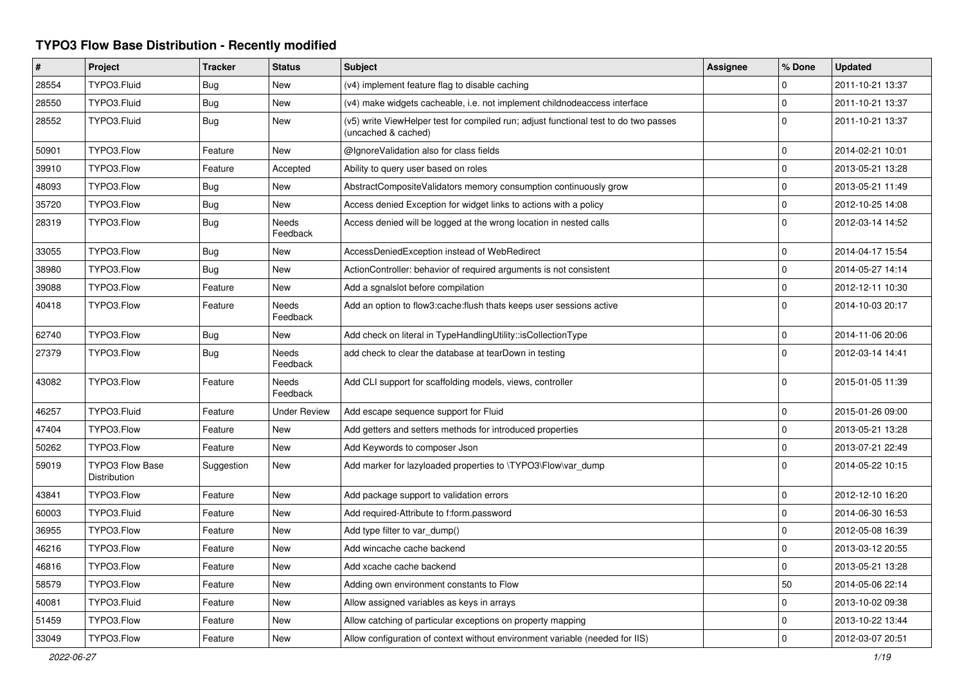## **TYPO3 Flow Base Distribution - Recently modified**

| #     | Project                                | <b>Tracker</b> | <b>Status</b>            | <b>Subject</b>                                                                                              | <b>Assignee</b> | % Done              | <b>Updated</b>   |
|-------|----------------------------------------|----------------|--------------------------|-------------------------------------------------------------------------------------------------------------|-----------------|---------------------|------------------|
| 28554 | TYPO3.Fluid                            | <b>Bug</b>     | New                      | (v4) implement feature flag to disable caching                                                              |                 | 0                   | 2011-10-21 13:37 |
| 28550 | TYPO3.Fluid                            | Bug            | <b>New</b>               | (v4) make widgets cacheable, i.e. not implement childnodeaccess interface                                   |                 | $\mathbf 0$         | 2011-10-21 13:37 |
| 28552 | TYPO3.Fluid                            | <b>Bug</b>     | New                      | (v5) write ViewHelper test for compiled run; adjust functional test to do two passes<br>(uncached & cached) |                 | $\Omega$            | 2011-10-21 13:37 |
| 50901 | TYPO3.Flow                             | Feature        | <b>New</b>               | @IgnoreValidation also for class fields                                                                     |                 | $\mathbf 0$         | 2014-02-21 10:01 |
| 39910 | TYPO3.Flow                             | Feature        | Accepted                 | Ability to query user based on roles                                                                        |                 | 0                   | 2013-05-21 13:28 |
| 48093 | TYPO3.Flow                             | Bug            | New                      | AbstractCompositeValidators memory consumption continuously grow                                            |                 | $\mathsf{O}\xspace$ | 2013-05-21 11:49 |
| 35720 | TYPO3.Flow                             | <b>Bug</b>     | New                      | Access denied Exception for widget links to actions with a policy                                           |                 | $\mathbf 0$         | 2012-10-25 14:08 |
| 28319 | TYPO3.Flow                             | <b>Bug</b>     | <b>Needs</b><br>Feedback | Access denied will be logged at the wrong location in nested calls                                          |                 | $\Omega$            | 2012-03-14 14:52 |
| 33055 | TYPO3.Flow                             | Bug            | <b>New</b>               | AccessDeniedException instead of WebRedirect                                                                |                 | $\mathbf 0$         | 2014-04-17 15:54 |
| 38980 | TYPO3.Flow                             | <b>Bug</b>     | <b>New</b>               | ActionController: behavior of required arguments is not consistent                                          |                 | $\mathbf 0$         | 2014-05-27 14:14 |
| 39088 | TYPO3.Flow                             | Feature        | New                      | Add a sgnalslot before compilation                                                                          |                 | $\mathbf 0$         | 2012-12-11 10:30 |
| 40418 | TYPO3.Flow                             | Feature        | Needs<br>Feedback        | Add an option to flow3:cache: flush thats keeps user sessions active                                        |                 | $\Omega$            | 2014-10-03 20:17 |
| 62740 | TYPO3.Flow                             | <b>Bug</b>     | <b>New</b>               | Add check on literal in TypeHandlingUtility::isCollectionType                                               |                 | 0                   | 2014-11-06 20:06 |
| 27379 | TYPO3.Flow                             | Bug            | Needs<br>Feedback        | add check to clear the database at tearDown in testing                                                      |                 | $\Omega$            | 2012-03-14 14:41 |
| 43082 | TYPO3.Flow                             | Feature        | <b>Needs</b><br>Feedback | Add CLI support for scaffolding models, views, controller                                                   |                 | $\Omega$            | 2015-01-05 11:39 |
| 46257 | TYPO3.Fluid                            | Feature        | <b>Under Review</b>      | Add escape sequence support for Fluid                                                                       |                 | $\Omega$            | 2015-01-26 09:00 |
| 47404 | TYPO3.Flow                             | Feature        | <b>New</b>               | Add getters and setters methods for introduced properties                                                   |                 | $\pmb{0}$           | 2013-05-21 13:28 |
| 50262 | TYPO3.Flow                             | Feature        | <b>New</b>               | Add Keywords to composer Json                                                                               |                 | $\mathbf 0$         | 2013-07-21 22:49 |
| 59019 | <b>TYPO3 Flow Base</b><br>Distribution | Suggestion     | New                      | Add marker for lazyloaded properties to \TYPO3\Flow\var_dump                                                |                 | $\Omega$            | 2014-05-22 10:15 |
| 43841 | TYPO3.Flow                             | Feature        | <b>New</b>               | Add package support to validation errors                                                                    |                 | 0                   | 2012-12-10 16:20 |
| 60003 | TYPO3.Fluid                            | Feature        | <b>New</b>               | Add required-Attribute to f:form.password                                                                   |                 | $\Omega$            | 2014-06-30 16:53 |
| 36955 | TYPO3.Flow                             | Feature        | <b>New</b>               | Add type filter to var dump()                                                                               |                 | 0                   | 2012-05-08 16:39 |
| 46216 | TYPO3.Flow                             | Feature        | <b>New</b>               | Add wincache cache backend                                                                                  |                 | $\mathbf 0$         | 2013-03-12 20:55 |
| 46816 | TYPO3.Flow                             | Feature        | <b>New</b>               | Add xcache cache backend                                                                                    |                 | $\mathbf 0$         | 2013-05-21 13:28 |
| 58579 | TYPO3.Flow                             | Feature        | <b>New</b>               | Adding own environment constants to Flow                                                                    |                 | 50                  | 2014-05-06 22:14 |
| 40081 | TYPO3.Fluid                            | Feature        | <b>New</b>               | Allow assigned variables as keys in arrays                                                                  |                 | $\mathbf 0$         | 2013-10-02 09:38 |
| 51459 | TYPO3.Flow                             | Feature        | <b>New</b>               | Allow catching of particular exceptions on property mapping                                                 |                 | $\Omega$            | 2013-10-22 13:44 |
| 33049 | TYPO3.Flow                             | Feature        | New                      | Allow configuration of context without environment variable (needed for IIS)                                |                 | $\mathbf 0$         | 2012-03-07 20:51 |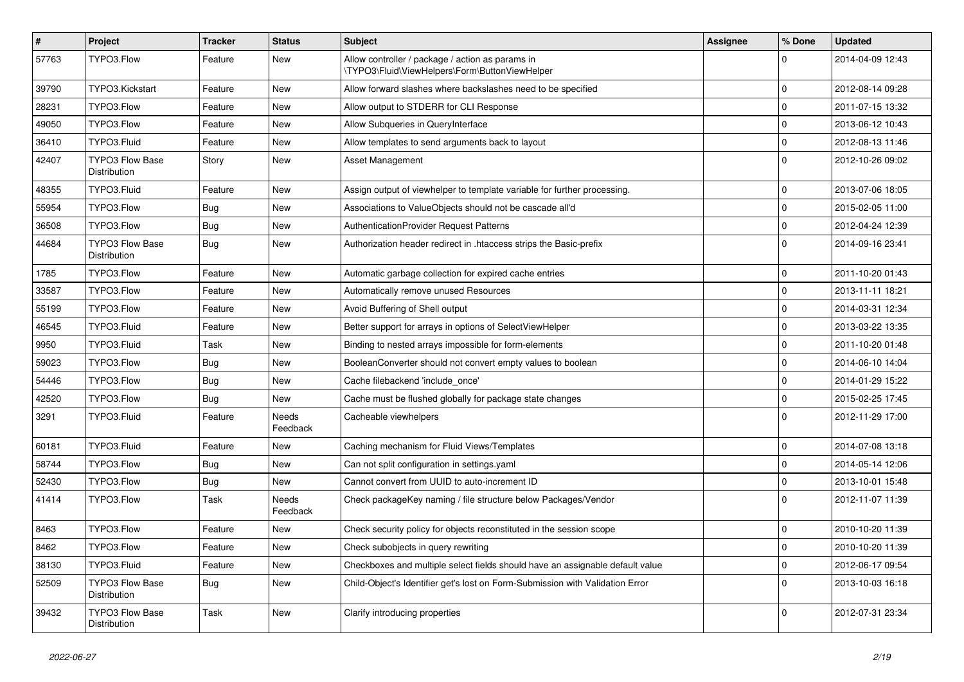| $\pmb{\#}$ | Project                                | <b>Tracker</b> | <b>Status</b>     | <b>Subject</b>                                                                                     | <b>Assignee</b> | % Done      | <b>Updated</b>   |
|------------|----------------------------------------|----------------|-------------------|----------------------------------------------------------------------------------------------------|-----------------|-------------|------------------|
| 57763      | TYPO3.Flow                             | Feature        | <b>New</b>        | Allow controller / package / action as params in<br>\TYPO3\Fluid\ViewHelpers\Form\ButtonViewHelper |                 | $\Omega$    | 2014-04-09 12:43 |
| 39790      | TYPO3.Kickstart                        | Feature        | <b>New</b>        | Allow forward slashes where backslashes need to be specified                                       |                 | $\Omega$    | 2012-08-14 09:28 |
| 28231      | TYPO3.Flow                             | Feature        | <b>New</b>        | Allow output to STDERR for CLI Response                                                            |                 | $\Omega$    | 2011-07-15 13:32 |
| 49050      | TYPO3.Flow                             | Feature        | New               | Allow Subqueries in QueryInterface                                                                 |                 | $\mathbf 0$ | 2013-06-12 10:43 |
| 36410      | TYPO3.Fluid                            | Feature        | <b>New</b>        | Allow templates to send arguments back to layout                                                   |                 | $\mathbf 0$ | 2012-08-13 11:46 |
| 42407      | <b>TYPO3 Flow Base</b><br>Distribution | Story          | <b>New</b>        | Asset Management                                                                                   |                 | $\Omega$    | 2012-10-26 09:02 |
| 48355      | TYPO3.Fluid                            | Feature        | <b>New</b>        | Assign output of viewhelper to template variable for further processing.                           |                 | $\Omega$    | 2013-07-06 18:05 |
| 55954      | TYPO3.Flow                             | <b>Bug</b>     | <b>New</b>        | Associations to ValueObjects should not be cascade all'd                                           |                 | $\Omega$    | 2015-02-05 11:00 |
| 36508      | TYPO3.Flow                             | <b>Bug</b>     | New               | AuthenticationProvider Request Patterns                                                            |                 | $\Omega$    | 2012-04-24 12:39 |
| 44684      | <b>TYPO3 Flow Base</b><br>Distribution | <b>Bug</b>     | New               | Authorization header redirect in .htaccess strips the Basic-prefix                                 |                 | $\Omega$    | 2014-09-16 23:41 |
| 1785       | TYPO3.Flow                             | Feature        | New               | Automatic garbage collection for expired cache entries                                             |                 | $\Omega$    | 2011-10-20 01:43 |
| 33587      | TYPO3.Flow                             | Feature        | <b>New</b>        | Automatically remove unused Resources                                                              |                 | $\mathbf 0$ | 2013-11-11 18:21 |
| 55199      | TYPO3.Flow                             | Feature        | New               | Avoid Buffering of Shell output                                                                    |                 | $\mathbf 0$ | 2014-03-31 12:34 |
| 46545      | TYPO3.Fluid                            | Feature        | New               | Better support for arrays in options of SelectViewHelper                                           |                 | $\mathbf 0$ | 2013-03-22 13:35 |
| 9950       | TYPO3.Fluid                            | Task           | New               | Binding to nested arrays impossible for form-elements                                              |                 | $\mathbf 0$ | 2011-10-20 01:48 |
| 59023      | TYPO3.Flow                             | Bug            | <b>New</b>        | BooleanConverter should not convert empty values to boolean                                        |                 | $\Omega$    | 2014-06-10 14:04 |
| 54446      | TYPO3.Flow                             | <b>Bug</b>     | <b>New</b>        | Cache filebackend 'include once'                                                                   |                 | $\mathbf 0$ | 2014-01-29 15:22 |
| 42520      | TYPO3.Flow                             | <b>Bug</b>     | <b>New</b>        | Cache must be flushed globally for package state changes                                           |                 | $\mathbf 0$ | 2015-02-25 17:45 |
| 3291       | TYPO3.Fluid                            | Feature        | Needs<br>Feedback | Cacheable viewhelpers                                                                              |                 | $\Omega$    | 2012-11-29 17:00 |
| 60181      | TYPO3.Fluid                            | Feature        | <b>New</b>        | Caching mechanism for Fluid Views/Templates                                                        |                 | $\Omega$    | 2014-07-08 13:18 |
| 58744      | TYPO3.Flow                             | <b>Bug</b>     | <b>New</b>        | Can not split configuration in settings yaml                                                       |                 | $\Omega$    | 2014-05-14 12:06 |
| 52430      | TYPO3.Flow                             | <b>Bug</b>     | <b>New</b>        | Cannot convert from UUID to auto-increment ID                                                      |                 | $\mathbf 0$ | 2013-10-01 15:48 |
| 41414      | TYPO3.Flow                             | Task           | Needs<br>Feedback | Check packageKey naming / file structure below Packages/Vendor                                     |                 | $\Omega$    | 2012-11-07 11:39 |
| 8463       | TYPO3.Flow                             | Feature        | New               | Check security policy for objects reconstituted in the session scope                               |                 | $\mathbf 0$ | 2010-10-20 11:39 |
| 8462       | TYPO3.Flow                             | Feature        | <b>New</b>        | Check subobjects in query rewriting                                                                |                 | $\mathbf 0$ | 2010-10-20 11:39 |
| 38130      | TYPO3.Fluid                            | Feature        | <b>New</b>        | Checkboxes and multiple select fields should have an assignable default value                      |                 | $\mathbf 0$ | 2012-06-17 09:54 |
| 52509      | <b>TYPO3 Flow Base</b><br>Distribution | <b>Bug</b>     | <b>New</b>        | Child-Object's Identifier get's lost on Form-Submission with Validation Error                      |                 | $\Omega$    | 2013-10-03 16:18 |
| 39432      | <b>TYPO3 Flow Base</b><br>Distribution | Task           | <b>New</b>        | Clarify introducing properties                                                                     |                 | $\Omega$    | 2012-07-31 23:34 |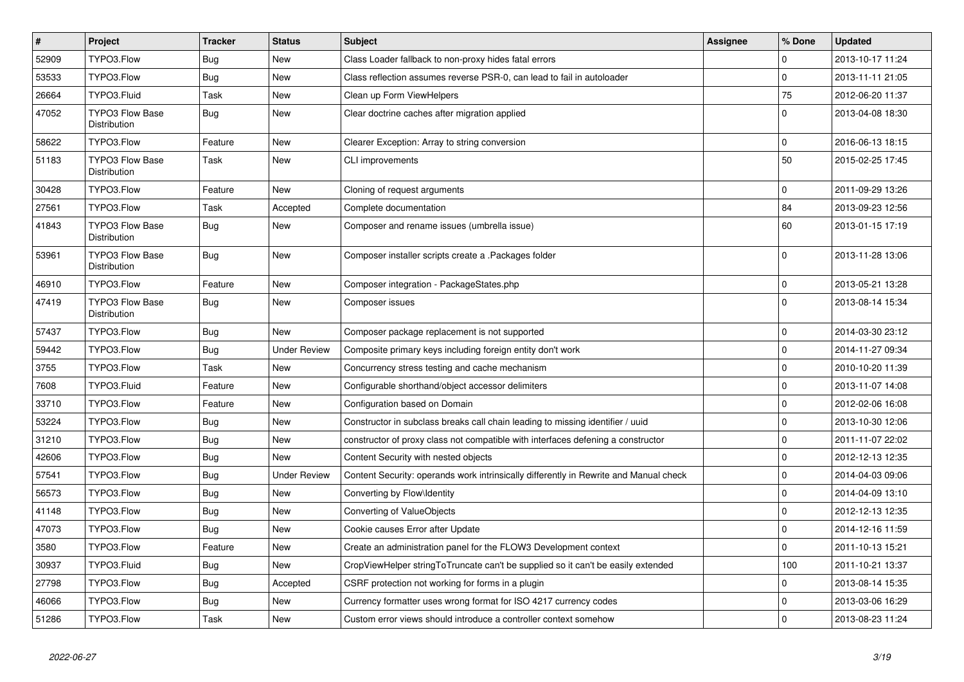| $\vert$ # | <b>Project</b>                         | <b>Tracker</b> | <b>Status</b>       | <b>Subject</b>                                                                        | <b>Assignee</b> | % Done       | <b>Updated</b>   |
|-----------|----------------------------------------|----------------|---------------------|---------------------------------------------------------------------------------------|-----------------|--------------|------------------|
| 52909     | TYPO3.Flow                             | Bug            | <b>New</b>          | Class Loader fallback to non-proxy hides fatal errors                                 |                 | $\Omega$     | 2013-10-17 11:24 |
| 53533     | TYPO3.Flow                             | Bug            | New                 | Class reflection assumes reverse PSR-0, can lead to fail in autoloader                |                 | $\mathbf 0$  | 2013-11-11 21:05 |
| 26664     | TYPO3.Fluid                            | Task           | <b>New</b>          | Clean up Form ViewHelpers                                                             |                 | 75           | 2012-06-20 11:37 |
| 47052     | <b>TYPO3 Flow Base</b><br>Distribution | Bug            | <b>New</b>          | Clear doctrine caches after migration applied                                         |                 | 0            | 2013-04-08 18:30 |
| 58622     | TYPO3.Flow                             | Feature        | New                 | Clearer Exception: Array to string conversion                                         |                 | $\mathbf 0$  | 2016-06-13 18:15 |
| 51183     | <b>TYPO3 Flow Base</b><br>Distribution | Task           | New                 | CLI improvements                                                                      |                 | 50           | 2015-02-25 17:45 |
| 30428     | TYPO3.Flow                             | Feature        | New                 | Cloning of request arguments                                                          |                 | $\mathbf 0$  | 2011-09-29 13:26 |
| 27561     | TYPO3.Flow                             | Task           | Accepted            | Complete documentation                                                                |                 | 84           | 2013-09-23 12:56 |
| 41843     | <b>TYPO3 Flow Base</b><br>Distribution | <b>Bug</b>     | <b>New</b>          | Composer and rename issues (umbrella issue)                                           |                 | 60           | 2013-01-15 17:19 |
| 53961     | <b>TYPO3 Flow Base</b><br>Distribution | Bug            | New                 | Composer installer scripts create a .Packages folder                                  |                 | $\Omega$     | 2013-11-28 13:06 |
| 46910     | TYPO3.Flow                             | Feature        | <b>New</b>          | Composer integration - PackageStates.php                                              |                 | $\mathbf 0$  | 2013-05-21 13:28 |
| 47419     | <b>TYPO3 Flow Base</b><br>Distribution | Bug            | New                 | Composer issues                                                                       |                 | $\Omega$     | 2013-08-14 15:34 |
| 57437     | TYPO3.Flow                             | Bug            | <b>New</b>          | Composer package replacement is not supported                                         |                 | $\mathbf 0$  | 2014-03-30 23:12 |
| 59442     | TYPO3.Flow                             | <b>Bug</b>     | <b>Under Review</b> | Composite primary keys including foreign entity don't work                            |                 | $\mathbf 0$  | 2014-11-27 09:34 |
| 3755      | TYPO3.Flow                             | Task           | New                 | Concurrency stress testing and cache mechanism                                        |                 | $\mathbf{0}$ | 2010-10-20 11:39 |
| 7608      | TYPO3.Fluid                            | Feature        | <b>New</b>          | Configurable shorthand/object accessor delimiters                                     |                 | $\mathbf 0$  | 2013-11-07 14:08 |
| 33710     | TYPO3.Flow                             | Feature        | <b>New</b>          | Configuration based on Domain                                                         |                 | $\mathbf 0$  | 2012-02-06 16:08 |
| 53224     | TYPO3.Flow                             | <b>Bug</b>     | <b>New</b>          | Constructor in subclass breaks call chain leading to missing identifier / uuid        |                 | $\mathbf 0$  | 2013-10-30 12:06 |
| 31210     | TYPO3.Flow                             | <b>Bug</b>     | <b>New</b>          | constructor of proxy class not compatible with interfaces defening a constructor      |                 | $\mathbf 0$  | 2011-11-07 22:02 |
| 42606     | TYPO3.Flow                             | Bug            | New                 | Content Security with nested objects                                                  |                 | $\mathbf 0$  | 2012-12-13 12:35 |
| 57541     | TYPO3.Flow                             | <b>Bug</b>     | <b>Under Review</b> | Content Security: operands work intrinsically differently in Rewrite and Manual check |                 | $\mathbf 0$  | 2014-04-03 09:06 |
| 56573     | TYPO3.Flow                             | Bug            | <b>New</b>          | Converting by Flow\Identity                                                           |                 | $\Omega$     | 2014-04-09 13:10 |
| 41148     | TYPO3.Flow                             | <b>Bug</b>     | <b>New</b>          | Converting of ValueObjects                                                            |                 | $\mathbf 0$  | 2012-12-13 12:35 |
| 47073     | TYPO3.Flow                             | <b>Bug</b>     | <b>New</b>          | Cookie causes Error after Update                                                      |                 | $\mathbf 0$  | 2014-12-16 11:59 |
| 3580      | TYPO3.Flow                             | Feature        | <b>New</b>          | Create an administration panel for the FLOW3 Development context                      |                 | $\mathbf 0$  | 2011-10-13 15:21 |
| 30937     | TYPO3.Fluid                            | <b>Bug</b>     | New                 | CropViewHelper stringToTruncate can't be supplied so it can't be easily extended      |                 | 100          | 2011-10-21 13:37 |
| 27798     | TYPO3.Flow                             | <b>Bug</b>     | Accepted            | CSRF protection not working for forms in a plugin                                     |                 | 0            | 2013-08-14 15:35 |
| 46066     | TYPO3.Flow                             | Bug            | <b>New</b>          | Currency formatter uses wrong format for ISO 4217 currency codes                      |                 | 0            | 2013-03-06 16:29 |
| 51286     | TYPO3.Flow                             | Task           | <b>New</b>          | Custom error views should introduce a controller context somehow                      |                 | $\mathbf 0$  | 2013-08-23 11:24 |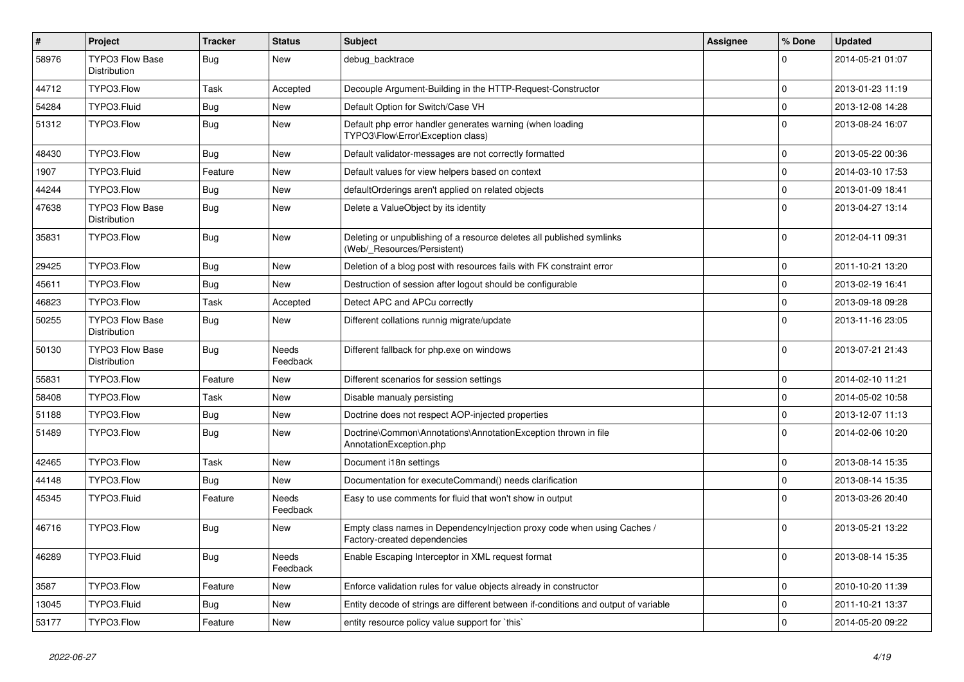| $\vert$ # | Project                                       | <b>Tracker</b> | <b>Status</b>            | <b>Subject</b>                                                                                          | <b>Assignee</b> | % Done      | <b>Updated</b>   |
|-----------|-----------------------------------------------|----------------|--------------------------|---------------------------------------------------------------------------------------------------------|-----------------|-------------|------------------|
| 58976     | <b>TYPO3 Flow Base</b><br><b>Distribution</b> | <b>Bug</b>     | <b>New</b>               | debug_backtrace                                                                                         |                 | $\Omega$    | 2014-05-21 01:07 |
| 44712     | TYPO3.Flow                                    | Task           | Accepted                 | Decouple Argument-Building in the HTTP-Request-Constructor                                              |                 | $\mathbf 0$ | 2013-01-23 11:19 |
| 54284     | TYPO3.Fluid                                   | Bug            | <b>New</b>               | Default Option for Switch/Case VH                                                                       |                 | $\mathbf 0$ | 2013-12-08 14:28 |
| 51312     | TYPO3.Flow                                    | Bug            | <b>New</b>               | Default php error handler generates warning (when loading<br>TYPO3\Flow\Error\Exception class)          |                 | $\Omega$    | 2013-08-24 16:07 |
| 48430     | TYPO3.Flow                                    | <b>Bug</b>     | New                      | Default validator-messages are not correctly formatted                                                  |                 | $\mathbf 0$ | 2013-05-22 00:36 |
| 1907      | TYPO3.Fluid                                   | Feature        | New                      | Default values for view helpers based on context                                                        |                 | $\mathbf 0$ | 2014-03-10 17:53 |
| 44244     | TYPO3.Flow                                    | <b>Bug</b>     | New                      | defaultOrderings aren't applied on related objects                                                      |                 | $\mathbf 0$ | 2013-01-09 18:41 |
| 47638     | <b>TYPO3 Flow Base</b><br><b>Distribution</b> | <b>Bug</b>     | New                      | Delete a ValueObject by its identity                                                                    |                 | $\Omega$    | 2013-04-27 13:14 |
| 35831     | TYPO3.Flow                                    | <b>Bug</b>     | <b>New</b>               | Deleting or unpublishing of a resource deletes all published symlinks<br>(Web/ Resources/Persistent)    |                 | $\Omega$    | 2012-04-11 09:31 |
| 29425     | TYPO3.Flow                                    | <b>Bug</b>     | <b>New</b>               | Deletion of a blog post with resources fails with FK constraint error                                   |                 | $\Omega$    | 2011-10-21 13:20 |
| 45611     | TYPO3.Flow                                    | Bug            | <b>New</b>               | Destruction of session after logout should be configurable                                              |                 | $\Omega$    | 2013-02-19 16:41 |
| 46823     | TYPO3.Flow                                    | Task           | Accepted                 | Detect APC and APCu correctly                                                                           |                 | $\mathbf 0$ | 2013-09-18 09:28 |
| 50255     | <b>TYPO3 Flow Base</b><br>Distribution        | Bug            | New                      | Different collations runnig migrate/update                                                              |                 | $\Omega$    | 2013-11-16 23:05 |
| 50130     | <b>TYPO3 Flow Base</b><br>Distribution        | Bug            | Needs<br>Feedback        | Different fallback for php.exe on windows                                                               |                 | $\Omega$    | 2013-07-21 21:43 |
| 55831     | TYPO3.Flow                                    | Feature        | <b>New</b>               | Different scenarios for session settings                                                                |                 | $\mathbf 0$ | 2014-02-10 11:21 |
| 58408     | TYPO3.Flow                                    | Task           | <b>New</b>               | Disable manualy persisting                                                                              |                 | $\mathbf 0$ | 2014-05-02 10:58 |
| 51188     | TYPO3.Flow                                    | <b>Bug</b>     | New                      | Doctrine does not respect AOP-injected properties                                                       |                 | $\mathbf 0$ | 2013-12-07 11:13 |
| 51489     | TYPO3.Flow                                    | Bug            | New                      | Doctrine\Common\Annotations\AnnotationException thrown in file<br>AnnotationException.php               |                 | $\Omega$    | 2014-02-06 10:20 |
| 42465     | TYPO3.Flow                                    | Task           | <b>New</b>               | Document i18n settings                                                                                  |                 | $\mathbf 0$ | 2013-08-14 15:35 |
| 44148     | TYPO3.Flow                                    | Bug            | New                      | Documentation for executeCommand() needs clarification                                                  |                 | $\mathbf 0$ | 2013-08-14 15:35 |
| 45345     | TYPO3.Fluid                                   | Feature        | Needs<br>Feedback        | Easy to use comments for fluid that won't show in output                                                |                 | $\Omega$    | 2013-03-26 20:40 |
| 46716     | TYPO3.Flow                                    | <b>Bug</b>     | <b>New</b>               | Empty class names in Dependencylnjection proxy code when using Caches /<br>Factory-created dependencies |                 | $\Omega$    | 2013-05-21 13:22 |
| 46289     | TYPO3.Fluid                                   | <b>Bug</b>     | <b>Needs</b><br>Feedback | Enable Escaping Interceptor in XML request format                                                       |                 | $\Omega$    | 2013-08-14 15:35 |
| 3587      | TYPO3.Flow                                    | Feature        | New                      | Enforce validation rules for value objects already in constructor                                       |                 | $\mathbf 0$ | 2010-10-20 11:39 |
| 13045     | TYPO3.Fluid                                   | Bug            | New                      | Entity decode of strings are different between if-conditions and output of variable                     |                 | $\mathbf 0$ | 2011-10-21 13:37 |
| 53177     | TYPO3.Flow                                    | Feature        | New                      | entity resource policy value support for `this`                                                         |                 | $\mathbf 0$ | 2014-05-20 09:22 |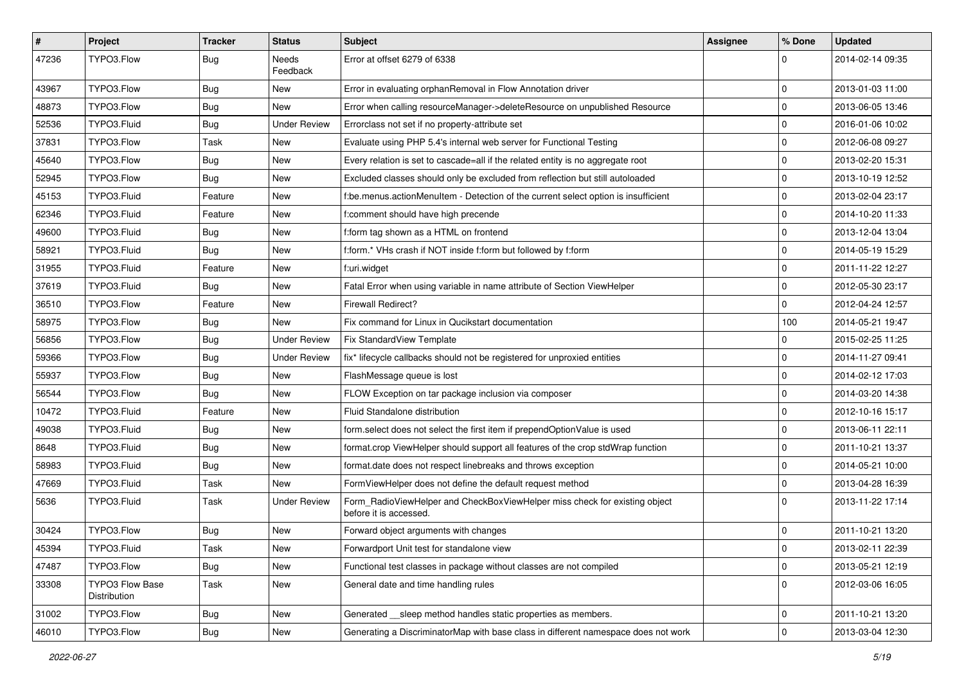| $\vert$ # | Project                         | Tracker    | <b>Status</b>       | Subject                                                                                              | <b>Assignee</b> | % Done      | <b>Updated</b>   |
|-----------|---------------------------------|------------|---------------------|------------------------------------------------------------------------------------------------------|-----------------|-------------|------------------|
| 47236     | TYPO3.Flow                      | <b>Bug</b> | Needs<br>Feedback   | Error at offset 6279 of 6338                                                                         |                 | $\Omega$    | 2014-02-14 09:35 |
| 43967     | TYPO3.Flow                      | Bug        | New                 | Error in evaluating orphanRemoval in Flow Annotation driver                                          |                 | $\Omega$    | 2013-01-03 11:00 |
| 48873     | TYPO3.Flow                      | Bug        | New                 | Error when calling resourceManager->deleteResource on unpublished Resource                           |                 | $\mathbf 0$ | 2013-06-05 13:46 |
| 52536     | TYPO3.Fluid                     | Bug        | <b>Under Review</b> | Errorclass not set if no property-attribute set                                                      |                 | $\mathbf 0$ | 2016-01-06 10:02 |
| 37831     | TYPO3.Flow                      | Task       | New                 | Evaluate using PHP 5.4's internal web server for Functional Testing                                  |                 | $\mathbf 0$ | 2012-06-08 09:27 |
| 45640     | TYPO3.Flow                      | <b>Bug</b> | <b>New</b>          | Every relation is set to cascade=all if the related entity is no aggregate root                      |                 | $\mathbf 0$ | 2013-02-20 15:31 |
| 52945     | TYPO3.Flow                      | Bug        | New                 | Excluded classes should only be excluded from reflection but still autoloaded                        |                 | $\mathbf 0$ | 2013-10-19 12:52 |
| 45153     | TYPO3.Fluid                     | Feature    | New                 | f:be.menus.actionMenuItem - Detection of the current select option is insufficient                   |                 | $\mathbf 0$ | 2013-02-04 23:17 |
| 62346     | TYPO3.Fluid                     | Feature    | <b>New</b>          | f:comment should have high precende                                                                  |                 | $\mathbf 0$ | 2014-10-20 11:33 |
| 49600     | TYPO3.Fluid                     | <b>Bug</b> | New                 | f:form tag shown as a HTML on frontend                                                               |                 | $\mathbf 0$ | 2013-12-04 13:04 |
| 58921     | TYPO3.Fluid                     | <b>Bug</b> | New                 | f:form.* VHs crash if NOT inside f:form but followed by f:form                                       |                 | $\mathbf 0$ | 2014-05-19 15:29 |
| 31955     | TYPO3.Fluid                     | Feature    | New                 | f:uri.widget                                                                                         |                 | $\mathbf 0$ | 2011-11-22 12:27 |
| 37619     | TYPO3.Fluid                     | <b>Bug</b> | New                 | Fatal Error when using variable in name attribute of Section ViewHelper                              |                 | $\mathbf 0$ | 2012-05-30 23:17 |
| 36510     | TYPO3.Flow                      | Feature    | New                 | <b>Firewall Redirect?</b>                                                                            |                 | $\mathbf 0$ | 2012-04-24 12:57 |
| 58975     | TYPO3.Flow                      | Bug        | New                 | Fix command for Linux in Qucikstart documentation                                                    |                 | 100         | 2014-05-21 19:47 |
| 56856     | TYPO3.Flow                      | <b>Bug</b> | <b>Under Review</b> | Fix StandardView Template                                                                            |                 | $\mathbf 0$ | 2015-02-25 11:25 |
| 59366     | TYPO3.Flow                      | Bug        | <b>Under Review</b> | fix* lifecycle callbacks should not be registered for unproxied entities                             |                 | $\mathbf 0$ | 2014-11-27 09:41 |
| 55937     | TYPO3.Flow                      | <b>Bug</b> | New                 | FlashMessage queue is lost                                                                           |                 | $\mathbf 0$ | 2014-02-12 17:03 |
| 56544     | TYPO3.Flow                      | <b>Bug</b> | <b>New</b>          | FLOW Exception on tar package inclusion via composer                                                 |                 | $\mathbf 0$ | 2014-03-20 14:38 |
| 10472     | TYPO3.Fluid                     | Feature    | New                 | Fluid Standalone distribution                                                                        |                 | $\mathbf 0$ | 2012-10-16 15:17 |
| 49038     | TYPO3.Fluid                     | <b>Bug</b> | New                 | form.select does not select the first item if prependOptionValue is used                             |                 | $\mathbf 0$ | 2013-06-11 22:11 |
| 8648      | TYPO3.Fluid                     | Bug        | New                 | format.crop ViewHelper should support all features of the crop stdWrap function                      |                 | $\mathbf 0$ | 2011-10-21 13:37 |
| 58983     | TYPO3.Fluid                     | <b>Bug</b> | New                 | format.date does not respect linebreaks and throws exception                                         |                 | $\mathbf 0$ | 2014-05-21 10:00 |
| 47669     | TYPO3.Fluid                     | Task       | New                 | FormViewHelper does not define the default request method                                            |                 | $\mathbf 0$ | 2013-04-28 16:39 |
| 5636      | TYPO3.Fluid                     | Task       | <b>Under Review</b> | Form_RadioViewHelper and CheckBoxViewHelper miss check for existing object<br>before it is accessed. |                 | $\Omega$    | 2013-11-22 17:14 |
| 30424     | TYPO3.Flow                      | <b>Bug</b> | New                 | Forward object arguments with changes                                                                |                 | $\mathbf 0$ | 2011-10-21 13:20 |
| 45394     | TYPO3.Fluid                     | Task       | New                 | Forwardport Unit test for standalone view                                                            |                 | 0           | 2013-02-11 22:39 |
| 47487     | TYPO3.Flow                      | <b>Bug</b> | New                 | Functional test classes in package without classes are not compiled                                  |                 | $\pmb{0}$   | 2013-05-21 12:19 |
| 33308     | TYPO3 Flow Base<br>Distribution | Task       | New                 | General date and time handling rules                                                                 |                 | $\mathbf 0$ | 2012-03-06 16:05 |
| 31002     | TYPO3.Flow                      | <b>Bug</b> | New                 | Generated __sleep method handles static properties as members.                                       |                 | $\pmb{0}$   | 2011-10-21 13:20 |
| 46010     | TYPO3.Flow                      | Bug        | New                 | Generating a DiscriminatorMap with base class in different namespace does not work                   |                 | 0           | 2013-03-04 12:30 |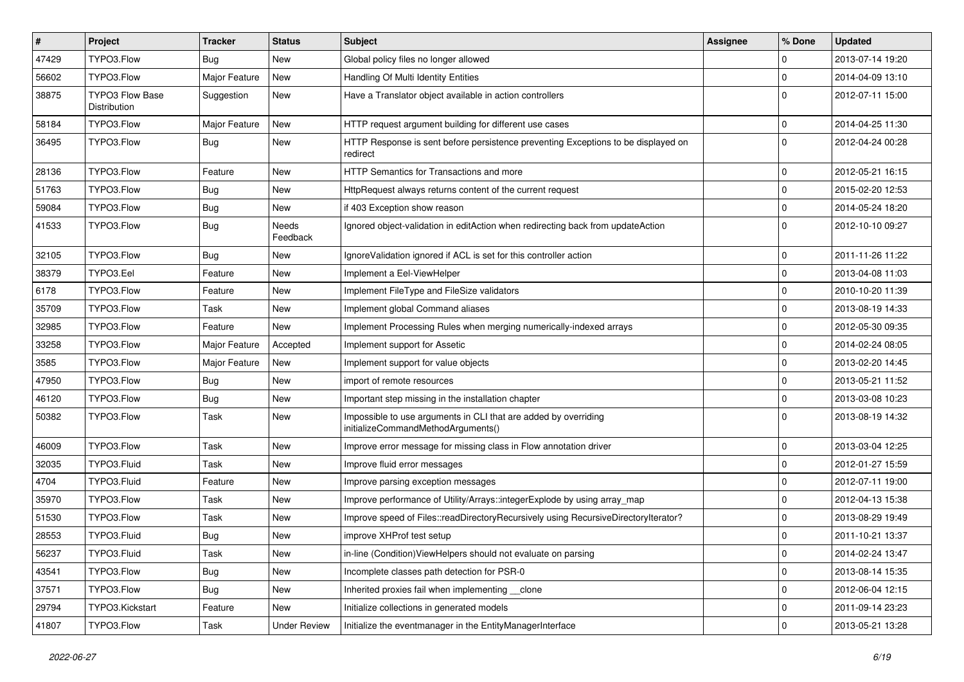| $\pmb{\#}$ | Project                                | Tracker       | <b>Status</b>       | Subject                                                                                               | <b>Assignee</b> | % Done      | <b>Updated</b>   |
|------------|----------------------------------------|---------------|---------------------|-------------------------------------------------------------------------------------------------------|-----------------|-------------|------------------|
| 47429      | TYPO3.Flow                             | Bug           | New                 | Global policy files no longer allowed                                                                 |                 | $\mathbf 0$ | 2013-07-14 19:20 |
| 56602      | TYPO3.Flow                             | Major Feature | <b>New</b>          | Handling Of Multi Identity Entities                                                                   |                 | $\mathbf 0$ | 2014-04-09 13:10 |
| 38875      | <b>TYPO3 Flow Base</b><br>Distribution | Suggestion    | New                 | Have a Translator object available in action controllers                                              |                 | $\Omega$    | 2012-07-11 15:00 |
| 58184      | TYPO3.Flow                             | Major Feature | New                 | HTTP request argument building for different use cases                                                |                 | $\mathbf 0$ | 2014-04-25 11:30 |
| 36495      | TYPO3.Flow                             | <b>Bug</b>    | New                 | HTTP Response is sent before persistence preventing Exceptions to be displayed on<br>redirect         |                 | $\Omega$    | 2012-04-24 00:28 |
| 28136      | TYPO3.Flow                             | Feature       | New                 | <b>HTTP Semantics for Transactions and more</b>                                                       |                 | $\mathbf 0$ | 2012-05-21 16:15 |
| 51763      | TYPO3.Flow                             | <b>Bug</b>    | New                 | HttpRequest always returns content of the current request                                             |                 | $\mathbf 0$ | 2015-02-20 12:53 |
| 59084      | TYPO3.Flow                             | <b>Bug</b>    | <b>New</b>          | if 403 Exception show reason                                                                          |                 | $\mathbf 0$ | 2014-05-24 18:20 |
| 41533      | TYPO3.Flow                             | <b>Bug</b>    | Needs<br>Feedback   | Ignored object-validation in editAction when redirecting back from updateAction                       |                 | $\Omega$    | 2012-10-10 09:27 |
| 32105      | TYPO3.Flow                             | <b>Bug</b>    | New                 | IgnoreValidation ignored if ACL is set for this controller action                                     |                 | $\mathbf 0$ | 2011-11-26 11:22 |
| 38379      | TYPO3.Eel                              | Feature       | New                 | Implement a Eel-ViewHelper                                                                            |                 | $\mathbf 0$ | 2013-04-08 11:03 |
| 6178       | TYPO3.Flow                             | Feature       | New                 | Implement FileType and FileSize validators                                                            |                 | $\mathbf 0$ | 2010-10-20 11:39 |
| 35709      | TYPO3.Flow                             | Task          | New                 | Implement global Command aliases                                                                      |                 | $\mathbf 0$ | 2013-08-19 14:33 |
| 32985      | TYPO3.Flow                             | Feature       | New                 | Implement Processing Rules when merging numerically-indexed arrays                                    |                 | $\mathbf 0$ | 2012-05-30 09:35 |
| 33258      | TYPO3.Flow                             | Major Feature | Accepted            | Implement support for Assetic                                                                         |                 | $\mathbf 0$ | 2014-02-24 08:05 |
| 3585       | TYPO3.Flow                             | Major Feature | New                 | Implement support for value objects                                                                   |                 | $\mathbf 0$ | 2013-02-20 14:45 |
| 47950      | TYPO3.Flow                             | Bug           | <b>New</b>          | import of remote resources                                                                            |                 | $\mathbf 0$ | 2013-05-21 11:52 |
| 46120      | TYPO3.Flow                             | <b>Bug</b>    | New                 | Important step missing in the installation chapter                                                    |                 | $\mathbf 0$ | 2013-03-08 10:23 |
| 50382      | TYPO3.Flow                             | Task          | New                 | Impossible to use arguments in CLI that are added by overriding<br>initializeCommandMethodArguments() |                 | $\Omega$    | 2013-08-19 14:32 |
| 46009      | TYPO3.Flow                             | Task          | New                 | Improve error message for missing class in Flow annotation driver                                     |                 | $\mathbf 0$ | 2013-03-04 12:25 |
| 32035      | TYPO3.Fluid                            | Task          | New                 | Improve fluid error messages                                                                          |                 | $\mathbf 0$ | 2012-01-27 15:59 |
| 4704       | TYPO3.Fluid                            | Feature       | New                 | Improve parsing exception messages                                                                    |                 | $\mathbf 0$ | 2012-07-11 19:00 |
| 35970      | TYPO3.Flow                             | Task          | New                 | Improve performance of Utility/Arrays::integerExplode by using array_map                              |                 | $\mathbf 0$ | 2012-04-13 15:38 |
| 51530      | TYPO3.Flow                             | Task          | New                 | Improve speed of Files::readDirectoryRecursively using RecursiveDirectoryIterator?                    |                 | $\mathbf 0$ | 2013-08-29 19:49 |
| 28553      | TYPO3.Fluid                            | <b>Bug</b>    | New                 | improve XHProf test setup                                                                             |                 | $\mathbf 0$ | 2011-10-21 13:37 |
| 56237      | TYPO3.Fluid                            | Task          | New                 | in-line (Condition) View Helpers should not evaluate on parsing                                       |                 | 0           | 2014-02-24 13:47 |
| 43541      | TYPO3.Flow                             | Bug           | New                 | Incomplete classes path detection for PSR-0                                                           |                 | $\mathsf 0$ | 2013-08-14 15:35 |
| 37571      | TYPO3.Flow                             | <b>Bug</b>    | New                 | Inherited proxies fail when implementing clone                                                        |                 | $\pmb{0}$   | 2012-06-04 12:15 |
| 29794      | TYPO3.Kickstart                        | Feature       | New                 | Initialize collections in generated models                                                            |                 | $\mathsf 0$ | 2011-09-14 23:23 |
| 41807      | TYPO3.Flow                             | Task          | <b>Under Review</b> | Initialize the eventmanager in the EntityManagerInterface                                             |                 | 0           | 2013-05-21 13:28 |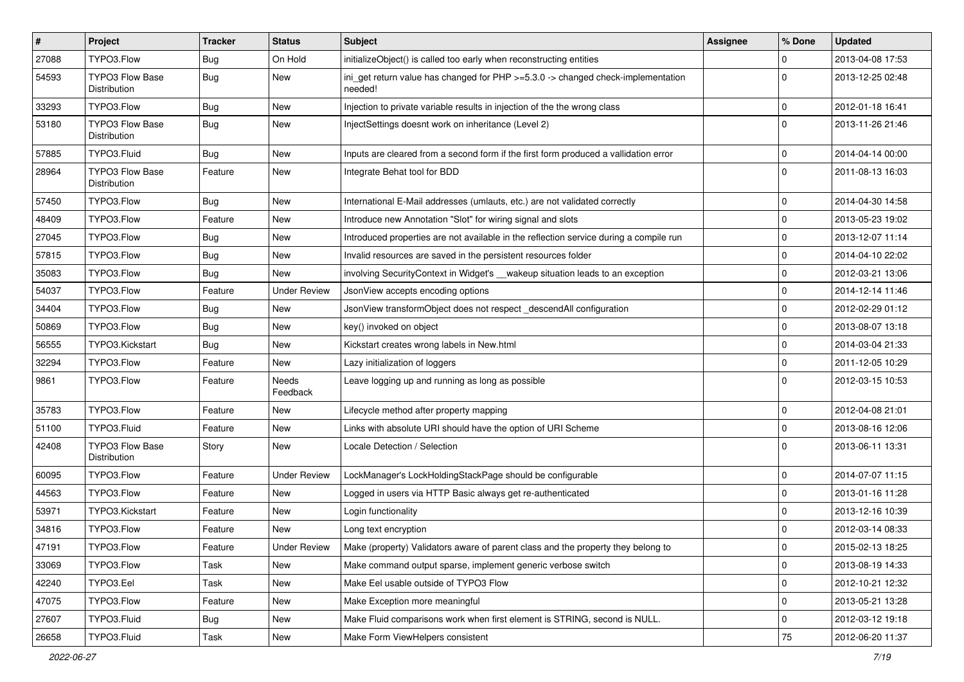| $\vert$ # | Project                                | <b>Tracker</b> | <b>Status</b>       | Subject                                                                                     | Assignee | % Done      | <b>Updated</b>   |
|-----------|----------------------------------------|----------------|---------------------|---------------------------------------------------------------------------------------------|----------|-------------|------------------|
| 27088     | TYPO3.Flow                             | Bug            | On Hold             | initializeObject() is called too early when reconstructing entities                         |          | 0           | 2013-04-08 17:53 |
| 54593     | <b>TYPO3 Flow Base</b><br>Distribution | <b>Bug</b>     | New                 | ini_get return value has changed for PHP >=5.3.0 -> changed check-implementation<br>needed! |          | $\Omega$    | 2013-12-25 02:48 |
| 33293     | TYPO3.Flow                             | <b>Bug</b>     | <b>New</b>          | Injection to private variable results in injection of the the wrong class                   |          | 0           | 2012-01-18 16:41 |
| 53180     | TYPO3 Flow Base<br>Distribution        | <b>Bug</b>     | New                 | InjectSettings doesnt work on inheritance (Level 2)                                         |          | $\Omega$    | 2013-11-26 21:46 |
| 57885     | TYPO3.Fluid                            | <b>Bug</b>     | New                 | Inputs are cleared from a second form if the first form produced a vallidation error        |          | 0           | 2014-04-14 00:00 |
| 28964     | <b>TYPO3 Flow Base</b><br>Distribution | Feature        | <b>New</b>          | Integrate Behat tool for BDD                                                                |          | $\Omega$    | 2011-08-13 16:03 |
| 57450     | TYPO3.Flow                             | <b>Bug</b>     | <b>New</b>          | International E-Mail addresses (umlauts, etc.) are not validated correctly                  |          | 0           | 2014-04-30 14:58 |
| 48409     | TYPO3.Flow                             | Feature        | New                 | Introduce new Annotation "Slot" for wiring signal and slots                                 |          | 0           | 2013-05-23 19:02 |
| 27045     | TYPO3.Flow                             | Bug            | New                 | Introduced properties are not available in the reflection service during a compile run      |          | 0           | 2013-12-07 11:14 |
| 57815     | TYPO3.Flow                             | <b>Bug</b>     | <b>New</b>          | Invalid resources are saved in the persistent resources folder                              |          | 0           | 2014-04-10 22:02 |
| 35083     | TYPO3.Flow                             | Bug            | New                 | involving SecurityContext in Widget's __wakeup situation leads to an exception              |          | 0           | 2012-03-21 13:06 |
| 54037     | TYPO3.Flow                             | Feature        | <b>Under Review</b> | JsonView accepts encoding options                                                           |          | $\mathbf 0$ | 2014-12-14 11:46 |
| 34404     | TYPO3.Flow                             | Bug            | New                 | JsonView transformObject does not respect_descendAll configuration                          |          | 0           | 2012-02-29 01:12 |
| 50869     | TYPO3.Flow                             | <b>Bug</b>     | New                 | key() invoked on object                                                                     |          | $\mathbf 0$ | 2013-08-07 13:18 |
| 56555     | TYPO3.Kickstart                        | Bug            | New                 | Kickstart creates wrong labels in New.html                                                  |          | 0           | 2014-03-04 21:33 |
| 32294     | TYPO3.Flow                             | Feature        | New                 | Lazy initialization of loggers                                                              |          | 0           | 2011-12-05 10:29 |
| 9861      | TYPO3.Flow                             | Feature        | Needs<br>Feedback   | Leave logging up and running as long as possible                                            |          | $\Omega$    | 2012-03-15 10:53 |
| 35783     | TYPO3.Flow                             | Feature        | New                 | Lifecycle method after property mapping                                                     |          | 0           | 2012-04-08 21:01 |
| 51100     | TYPO3.Fluid                            | Feature        | New                 | Links with absolute URI should have the option of URI Scheme                                |          | 0           | 2013-08-16 12:06 |
| 42408     | <b>TYPO3 Flow Base</b><br>Distribution | Story          | New                 | Locale Detection / Selection                                                                |          | 0           | 2013-06-11 13:31 |
| 60095     | TYPO3.Flow                             | Feature        | <b>Under Review</b> | LockManager's LockHoldingStackPage should be configurable                                   |          | 0           | 2014-07-07 11:15 |
| 44563     | TYPO3.Flow                             | Feature        | New                 | Logged in users via HTTP Basic always get re-authenticated                                  |          | 0           | 2013-01-16 11:28 |
| 53971     | TYPO3.Kickstart                        | Feature        | New                 | Login functionality                                                                         |          | 0           | 2013-12-16 10:39 |
| 34816     | TYPO3.Flow                             | Feature        | <b>New</b>          | Long text encryption                                                                        |          | 0           | 2012-03-14 08:33 |
| 47191     | TYPO3.Flow                             | Feature        | <b>Under Review</b> | Make (property) Validators aware of parent class and the property they belong to            |          | 0           | 2015-02-13 18:25 |
| 33069     | TYPO3.Flow                             | Task           | New                 | Make command output sparse, implement generic verbose switch                                |          | 0           | 2013-08-19 14:33 |
| 42240     | TYPO3.Eel                              | Task           | New                 | Make Eel usable outside of TYPO3 Flow                                                       |          | $\mathbf 0$ | 2012-10-21 12:32 |
| 47075     | TYPO3.Flow                             | Feature        | New                 | Make Exception more meaningful                                                              |          | 0           | 2013-05-21 13:28 |
| 27607     | TYPO3.Fluid                            | Bug            | New                 | Make Fluid comparisons work when first element is STRING, second is NULL.                   |          | 0           | 2012-03-12 19:18 |
| 26658     | TYPO3.Fluid                            | Task           | New                 | Make Form ViewHelpers consistent                                                            |          | 75          | 2012-06-20 11:37 |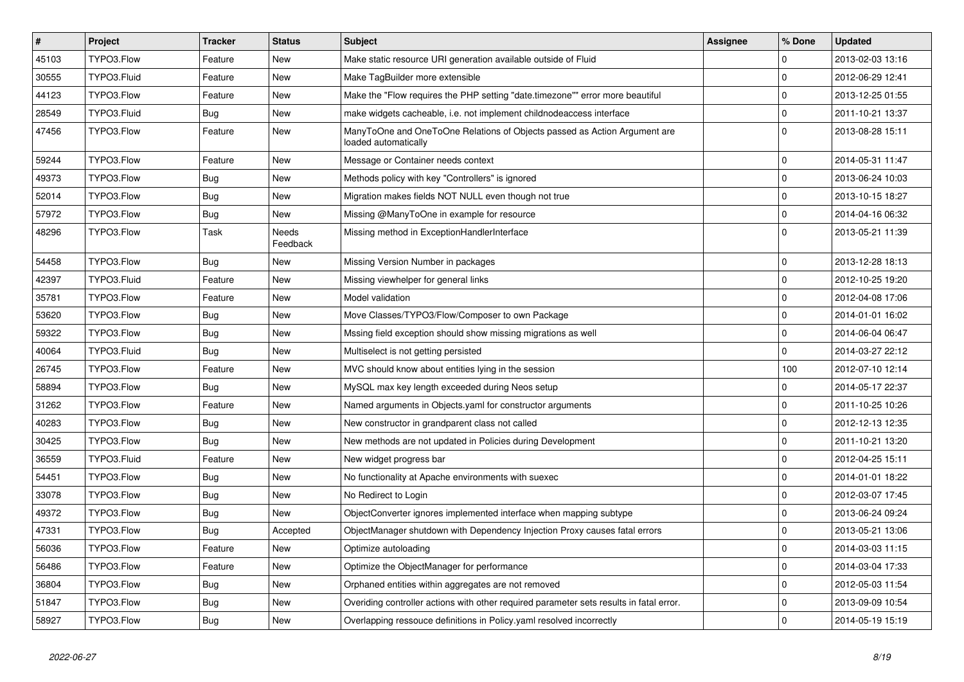| $\vert$ # | Project     | <b>Tracker</b> | <b>Status</b>     | <b>Subject</b>                                                                                    | <b>Assignee</b> | % Done       | <b>Updated</b>   |
|-----------|-------------|----------------|-------------------|---------------------------------------------------------------------------------------------------|-----------------|--------------|------------------|
| 45103     | TYPO3.Flow  | Feature        | <b>New</b>        | Make static resource URI generation available outside of Fluid                                    |                 | 0            | 2013-02-03 13:16 |
| 30555     | TYPO3.Fluid | Feature        | <b>New</b>        | Make TagBuilder more extensible                                                                   |                 | $\mathbf 0$  | 2012-06-29 12:41 |
| 44123     | TYPO3.Flow  | Feature        | New               | Make the "Flow requires the PHP setting "date.timezone"" error more beautiful                     |                 | 0            | 2013-12-25 01:55 |
| 28549     | TYPO3.Fluid | Bug            | New               | make widgets cacheable, i.e. not implement childnodeaccess interface                              |                 | $\mathbf 0$  | 2011-10-21 13:37 |
| 47456     | TYPO3.Flow  | Feature        | <b>New</b>        | ManyToOne and OneToOne Relations of Objects passed as Action Argument are<br>loaded automatically |                 | $\Omega$     | 2013-08-28 15:11 |
| 59244     | TYPO3.Flow  | Feature        | New               | Message or Container needs context                                                                |                 | $\mathbf 0$  | 2014-05-31 11:47 |
| 49373     | TYPO3.Flow  | Bug            | <b>New</b>        | Methods policy with key "Controllers" is ignored                                                  |                 | $\mathbf 0$  | 2013-06-24 10:03 |
| 52014     | TYPO3.Flow  | <b>Bug</b>     | New               | Migration makes fields NOT NULL even though not true                                              |                 | $\mathbf{0}$ | 2013-10-15 18:27 |
| 57972     | TYPO3.Flow  | <b>Bug</b>     | <b>New</b>        | Missing @ManyToOne in example for resource                                                        |                 | $\mathbf 0$  | 2014-04-16 06:32 |
| 48296     | TYPO3.Flow  | Task           | Needs<br>Feedback | Missing method in ExceptionHandlerInterface                                                       |                 | $\Omega$     | 2013-05-21 11:39 |
| 54458     | TYPO3.Flow  | <b>Bug</b>     | <b>New</b>        | Missing Version Number in packages                                                                |                 | 0            | 2013-12-28 18:13 |
| 42397     | TYPO3.Fluid | Feature        | <b>New</b>        | Missing viewhelper for general links                                                              |                 | 0            | 2012-10-25 19:20 |
| 35781     | TYPO3.Flow  | Feature        | <b>New</b>        | Model validation                                                                                  |                 | $\mathbf{0}$ | 2012-04-08 17:06 |
| 53620     | TYPO3.Flow  | <b>Bug</b>     | New               | Move Classes/TYPO3/Flow/Composer to own Package                                                   |                 | $\mathbf 0$  | 2014-01-01 16:02 |
| 59322     | TYPO3.Flow  | <b>Bug</b>     | <b>New</b>        | Mssing field exception should show missing migrations as well                                     |                 | 0            | 2014-06-04 06:47 |
| 40064     | TYPO3.Fluid | Bug            | <b>New</b>        | Multiselect is not getting persisted                                                              |                 | $\mathbf 0$  | 2014-03-27 22:12 |
| 26745     | TYPO3.Flow  | Feature        | New               | MVC should know about entities lying in the session                                               |                 | 100          | 2012-07-10 12:14 |
| 58894     | TYPO3.Flow  | <b>Bug</b>     | <b>New</b>        | MySQL max key length exceeded during Neos setup                                                   |                 | 0            | 2014-05-17 22:37 |
| 31262     | TYPO3.Flow  | Feature        | New               | Named arguments in Objects.yaml for constructor arguments                                         |                 | 0            | 2011-10-25 10:26 |
| 40283     | TYPO3.Flow  | <b>Bug</b>     | New               | New constructor in grandparent class not called                                                   |                 | $\mathbf 0$  | 2012-12-13 12:35 |
| 30425     | TYPO3.Flow  | Bug            | New               | New methods are not updated in Policies during Development                                        |                 | $\mathbf{0}$ | 2011-10-21 13:20 |
| 36559     | TYPO3.Fluid | Feature        | <b>New</b>        | New widget progress bar                                                                           |                 | $\mathbf 0$  | 2012-04-25 15:11 |
| 54451     | TYPO3.Flow  | <b>Bug</b>     | <b>New</b>        | No functionality at Apache environments with suexec                                               |                 | $\mathbf 0$  | 2014-01-01 18:22 |
| 33078     | TYPO3.Flow  | <b>Bug</b>     | <b>New</b>        | No Redirect to Login                                                                              |                 | 0            | 2012-03-07 17:45 |
| 49372     | TYPO3.Flow  | <b>Bug</b>     | New               | ObjectConverter ignores implemented interface when mapping subtype                                |                 | $\mathbf 0$  | 2013-06-24 09:24 |
| 47331     | TYPO3.Flow  | <b>Bug</b>     | Accepted          | ObjectManager shutdown with Dependency Injection Proxy causes fatal errors                        |                 | $\mathbf 0$  | 2013-05-21 13:06 |
| 56036     | TYPO3.Flow  | Feature        | New               | Optimize autoloading                                                                              |                 | $\mathbf 0$  | 2014-03-03 11:15 |
| 56486     | TYPO3.Flow  | Feature        | New               | Optimize the ObjectManager for performance                                                        |                 | $\mathbf 0$  | 2014-03-04 17:33 |
| 36804     | TYPO3.Flow  | Bug            | New               | Orphaned entities within aggregates are not removed                                               |                 | $\mathbf 0$  | 2012-05-03 11:54 |
| 51847     | TYPO3.Flow  | <b>Bug</b>     | New               | Overiding controller actions with other required parameter sets results in fatal error.           |                 | $\mathbf 0$  | 2013-09-09 10:54 |
| 58927     | TYPO3.Flow  | <b>Bug</b>     | <b>New</b>        | Overlapping ressouce definitions in Policy yaml resolved incorrectly                              |                 | 0            | 2014-05-19 15:19 |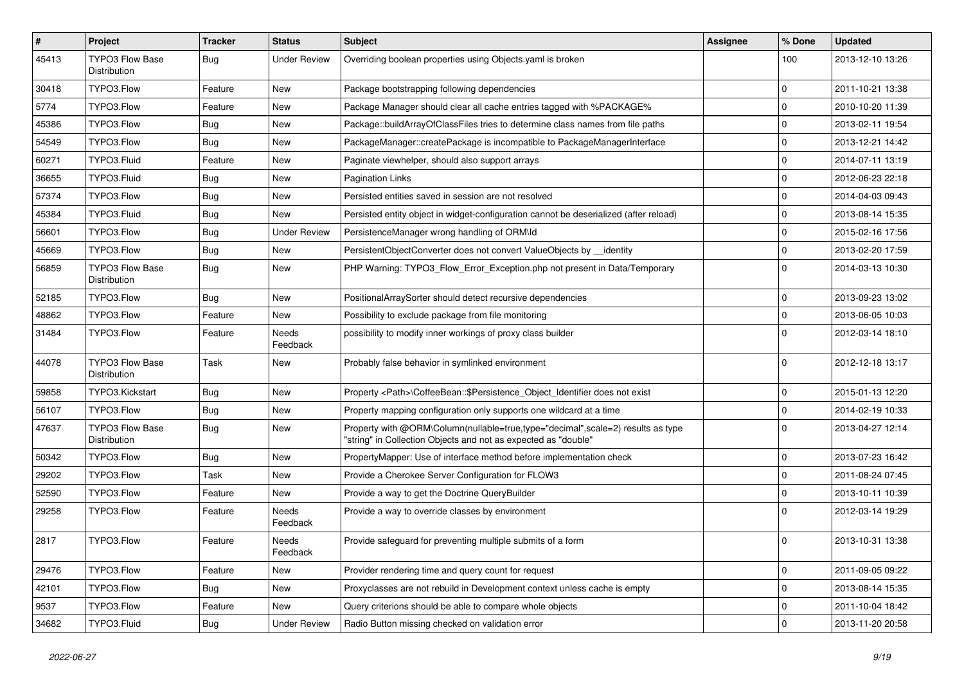| $\vert$ # | <b>Project</b>                         | Tracker    | <b>Status</b>       | Subject                                                                                                                                           | <b>Assignee</b> | % Done      | <b>Updated</b>   |
|-----------|----------------------------------------|------------|---------------------|---------------------------------------------------------------------------------------------------------------------------------------------------|-----------------|-------------|------------------|
| 45413     | <b>TYPO3 Flow Base</b><br>Distribution | <b>Bug</b> | <b>Under Review</b> | Overriding boolean properties using Objects yaml is broken                                                                                        |                 | 100         | 2013-12-10 13:26 |
| 30418     | TYPO3.Flow                             | Feature    | New                 | Package bootstrapping following dependencies                                                                                                      |                 | $\mathbf 0$ | 2011-10-21 13:38 |
| 5774      | TYPO3.Flow                             | Feature    | New                 | Package Manager should clear all cache entries tagged with %PACKAGE%                                                                              |                 | $\mathbf 0$ | 2010-10-20 11:39 |
| 45386     | TYPO3.Flow                             | Bug        | New                 | Package::buildArrayOfClassFiles tries to determine class names from file paths                                                                    |                 | $\mathbf 0$ | 2013-02-11 19:54 |
| 54549     | TYPO3.Flow                             | <b>Bug</b> | New                 | PackageManager::createPackage is incompatible to PackageManagerInterface                                                                          |                 | $\mathbf 0$ | 2013-12-21 14:42 |
| 60271     | TYPO3.Fluid                            | Feature    | New                 | Paginate viewhelper, should also support arrays                                                                                                   |                 | $\mathbf 0$ | 2014-07-11 13:19 |
| 36655     | TYPO3.Fluid                            | Bug        | New                 | Pagination Links                                                                                                                                  |                 | $\mathbf 0$ | 2012-06-23 22:18 |
| 57374     | TYPO3.Flow                             | <b>Bug</b> | New                 | Persisted entities saved in session are not resolved                                                                                              |                 | $\mathbf 0$ | 2014-04-03 09:43 |
| 45384     | TYPO3.Fluid                            | Bug        | <b>New</b>          | Persisted entity object in widget-configuration cannot be deserialized (after reload)                                                             |                 | $\mathbf 0$ | 2013-08-14 15:35 |
| 56601     | TYPO3.Flow                             | <b>Bug</b> | <b>Under Review</b> | PersistenceManager wrong handling of ORM\ld                                                                                                       |                 | $\mathbf 0$ | 2015-02-16 17:56 |
| 45669     | TYPO3.Flow                             | <b>Bug</b> | New                 | PersistentObjectConverter does not convert ValueObjects by __ identity                                                                            |                 | $\mathbf 0$ | 2013-02-20 17:59 |
| 56859     | <b>TYPO3 Flow Base</b><br>Distribution | <b>Bug</b> | New                 | PHP Warning: TYPO3_Flow_Error_Exception.php not present in Data/Temporary                                                                         |                 | $\Omega$    | 2014-03-13 10:30 |
| 52185     | TYPO3.Flow                             | Bug        | <b>New</b>          | PositionalArraySorter should detect recursive dependencies                                                                                        |                 | $\mathbf 0$ | 2013-09-23 13:02 |
| 48862     | TYPO3.Flow                             | Feature    | New                 | Possibility to exclude package from file monitoring                                                                                               |                 | $\mathbf 0$ | 2013-06-05 10:03 |
| 31484     | TYPO3.Flow                             | Feature    | Needs<br>Feedback   | possibility to modify inner workings of proxy class builder                                                                                       |                 | $\Omega$    | 2012-03-14 18:10 |
| 44078     | <b>TYPO3 Flow Base</b><br>Distribution | Task       | New                 | Probably false behavior in symlinked environment                                                                                                  |                 | $\Omega$    | 2012-12-18 13:17 |
| 59858     | TYPO3.Kickstart                        | <b>Bug</b> | <b>New</b>          | Property <path>\CoffeeBean::\$Persistence_Object_Identifier does not exist</path>                                                                 |                 | $\mathbf 0$ | 2015-01-13 12:20 |
| 56107     | TYPO3.Flow                             | <b>Bug</b> | New                 | Property mapping configuration only supports one wildcard at a time                                                                               |                 | $\mathbf 0$ | 2014-02-19 10:33 |
| 47637     | <b>TYPO3 Flow Base</b><br>Distribution | <b>Bug</b> | New                 | Property with @ORM\Column(nullable=true,type="decimal",scale=2) results as type<br>"string" in Collection Objects and not as expected as "double" |                 | $\Omega$    | 2013-04-27 12:14 |
| 50342     | TYPO3.Flow                             | <b>Bug</b> | <b>New</b>          | PropertyMapper: Use of interface method before implementation check                                                                               |                 | $\mathbf 0$ | 2013-07-23 16:42 |
| 29202     | TYPO3.Flow                             | Task       | New                 | Provide a Cherokee Server Configuration for FLOW3                                                                                                 |                 | $\mathbf 0$ | 2011-08-24 07:45 |
| 52590     | TYPO3.Flow                             | Feature    | New                 | Provide a way to get the Doctrine QueryBuilder                                                                                                    |                 | $\mathbf 0$ | 2013-10-11 10:39 |
| 29258     | TYPO3.Flow                             | Feature    | Needs<br>Feedback   | Provide a way to override classes by environment                                                                                                  |                 | $\Omega$    | 2012-03-14 19:29 |
| 2817      | TYPO3.Flow                             | Feature    | Needs<br>Feedback   | Provide safeguard for preventing multiple submits of a form                                                                                       |                 | $\Omega$    | 2013-10-31 13:38 |
| 29476     | TYPO3.Flow                             | Feature    | New                 | Provider rendering time and query count for request                                                                                               |                 | $\mathbf 0$ | 2011-09-05 09:22 |
| 42101     | TYPO3.Flow                             | <b>Bug</b> | New                 | Proxyclasses are not rebuild in Development context unless cache is empty                                                                         |                 | $\pmb{0}$   | 2013-08-14 15:35 |
| 9537      | TYPO3.Flow                             | Feature    | New                 | Query criterions should be able to compare whole objects                                                                                          |                 | 0           | 2011-10-04 18:42 |
| 34682     | TYPO3.Fluid                            | <b>Bug</b> | <b>Under Review</b> | Radio Button missing checked on validation error                                                                                                  |                 | $\pmb{0}$   | 2013-11-20 20:58 |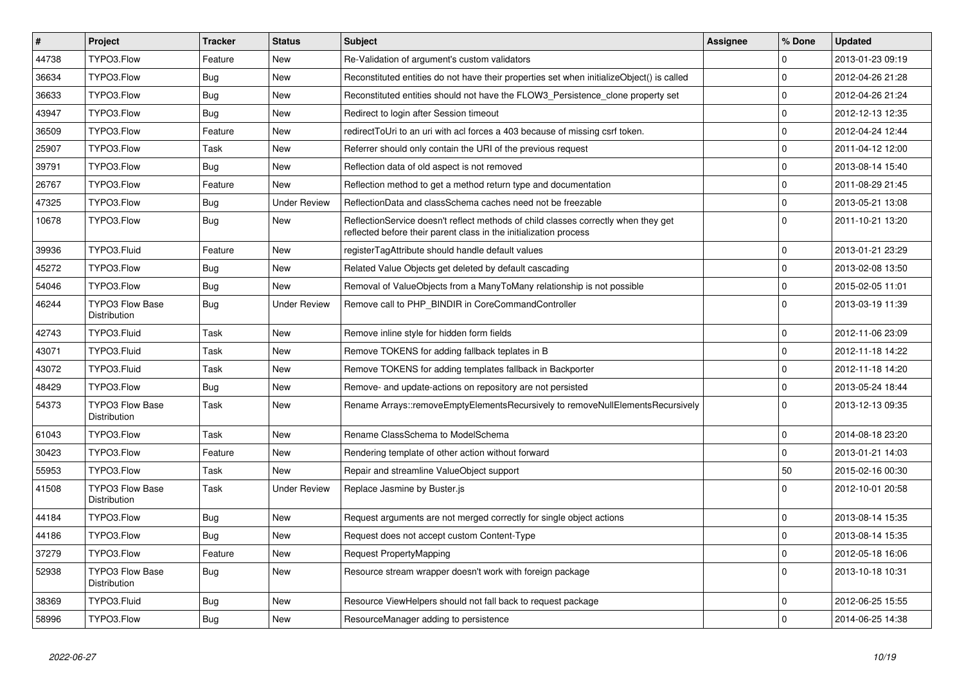| $\sharp$ | <b>Project</b>                                | Tracker    | <b>Status</b>       | <b>Subject</b>                                                                                                                                          | <b>Assignee</b> | % Done      | <b>Updated</b>   |
|----------|-----------------------------------------------|------------|---------------------|---------------------------------------------------------------------------------------------------------------------------------------------------------|-----------------|-------------|------------------|
| 44738    | TYPO3.Flow                                    | Feature    | <b>New</b>          | Re-Validation of argument's custom validators                                                                                                           |                 | $\Omega$    | 2013-01-23 09:19 |
| 36634    | TYPO3.Flow                                    | Bug        | <b>New</b>          | Reconstituted entities do not have their properties set when initializeObject() is called                                                               |                 | $\mathbf 0$ | 2012-04-26 21:28 |
| 36633    | TYPO3.Flow                                    | <b>Bug</b> | New                 | Reconstituted entities should not have the FLOW3 Persistence clone property set                                                                         |                 | $\mathbf 0$ | 2012-04-26 21:24 |
| 43947    | TYPO3.Flow                                    | <b>Bug</b> | <b>New</b>          | Redirect to login after Session timeout                                                                                                                 |                 | $\mathbf 0$ | 2012-12-13 12:35 |
| 36509    | TYPO3.Flow                                    | Feature    | <b>New</b>          | redirectToUri to an uri with acl forces a 403 because of missing csrf token.                                                                            |                 | $\mathbf 0$ | 2012-04-24 12:44 |
| 25907    | TYPO3.Flow                                    | Task       | <b>New</b>          | Referrer should only contain the URI of the previous request                                                                                            |                 | $\mathsf 0$ | 2011-04-12 12:00 |
| 39791    | TYPO3.Flow                                    | <b>Bug</b> | New                 | Reflection data of old aspect is not removed                                                                                                            |                 | $\mathbf 0$ | 2013-08-14 15:40 |
| 26767    | TYPO3.Flow                                    | Feature    | <b>New</b>          | Reflection method to get a method return type and documentation                                                                                         |                 | $\Omega$    | 2011-08-29 21:45 |
| 47325    | TYPO3.Flow                                    | <b>Bug</b> | <b>Under Review</b> | ReflectionData and classSchema caches need not be freezable                                                                                             |                 | $\Omega$    | 2013-05-21 13:08 |
| 10678    | TYPO3.Flow                                    | <b>Bug</b> | <b>New</b>          | ReflectionService doesn't reflect methods of child classes correctly when they get<br>reflected before their parent class in the initialization process |                 | $\Omega$    | 2011-10-21 13:20 |
| 39936    | TYPO3.Fluid                                   | Feature    | <b>New</b>          | registerTagAttribute should handle default values                                                                                                       |                 | $\mathbf 0$ | 2013-01-21 23:29 |
| 45272    | TYPO3.Flow                                    | <b>Bug</b> | <b>New</b>          | Related Value Objects get deleted by default cascading                                                                                                  |                 | $\Omega$    | 2013-02-08 13:50 |
| 54046    | TYPO3.Flow                                    | Bug        | New                 | Removal of ValueObjects from a ManyToMany relationship is not possible                                                                                  |                 | $\mathbf 0$ | 2015-02-05 11:01 |
| 46244    | <b>TYPO3 Flow Base</b><br>Distribution        | Bug        | <b>Under Review</b> | Remove call to PHP BINDIR in CoreCommandController                                                                                                      |                 | $\Omega$    | 2013-03-19 11:39 |
| 42743    | TYPO3.Fluid                                   | Task       | <b>New</b>          | Remove inline style for hidden form fields                                                                                                              |                 | $\Omega$    | 2012-11-06 23:09 |
| 43071    | TYPO3.Fluid                                   | Task       | New                 | Remove TOKENS for adding fallback teplates in B                                                                                                         |                 | $\mathbf 0$ | 2012-11-18 14:22 |
| 43072    | TYPO3.Fluid                                   | Task       | <b>New</b>          | Remove TOKENS for adding templates fallback in Backporter                                                                                               |                 | $\mathbf 0$ | 2012-11-18 14:20 |
| 48429    | TYPO3.Flow                                    | Bug        | New                 | Remove- and update-actions on repository are not persisted                                                                                              |                 | $\mathbf 0$ | 2013-05-24 18:44 |
| 54373    | <b>TYPO3 Flow Base</b><br><b>Distribution</b> | Task       | <b>New</b>          | Rename Arrays::removeEmptyElementsRecursively to removeNullElementsRecursively                                                                          |                 | $\Omega$    | 2013-12-13 09:35 |
| 61043    | TYPO3.Flow                                    | Task       | <b>New</b>          | Rename ClassSchema to ModelSchema                                                                                                                       |                 | $\mathbf 0$ | 2014-08-18 23:20 |
| 30423    | TYPO3.Flow                                    | Feature    | <b>New</b>          | Rendering template of other action without forward                                                                                                      |                 | $\mathbf 0$ | 2013-01-21 14:03 |
| 55953    | TYPO3.Flow                                    | Task       | New                 | Repair and streamline ValueObject support                                                                                                               |                 | 50          | 2015-02-16 00:30 |
| 41508    | TYPO3 Flow Base<br>Distribution               | Task       | <b>Under Review</b> | Replace Jasmine by Buster.js                                                                                                                            |                 | $\Omega$    | 2012-10-01 20:58 |
| 44184    | TYPO3.Flow                                    | Bug        | <b>New</b>          | Request arguments are not merged correctly for single object actions                                                                                    |                 | $\mathbf 0$ | 2013-08-14 15:35 |
| 44186    | TYPO3.Flow                                    | Bug        | New                 | Request does not accept custom Content-Type                                                                                                             |                 | $\mathsf 0$ | 2013-08-14 15:35 |
| 37279    | TYPO3.Flow                                    | Feature    | <b>New</b>          | Request PropertyMapping                                                                                                                                 |                 | $\mathbf 0$ | 2012-05-18 16:06 |
| 52938    | <b>TYPO3 Flow Base</b><br>Distribution        | <b>Bug</b> | <b>New</b>          | Resource stream wrapper doesn't work with foreign package                                                                                               |                 | $\Omega$    | 2013-10-18 10:31 |
| 38369    | TYPO3.Fluid                                   | <b>Bug</b> | New                 | Resource ViewHelpers should not fall back to request package                                                                                            |                 | $\mathbf 0$ | 2012-06-25 15:55 |
| 58996    | TYPO3.Flow                                    | Bug        | <b>New</b>          | ResourceManager adding to persistence                                                                                                                   |                 | $\mathbf 0$ | 2014-06-25 14:38 |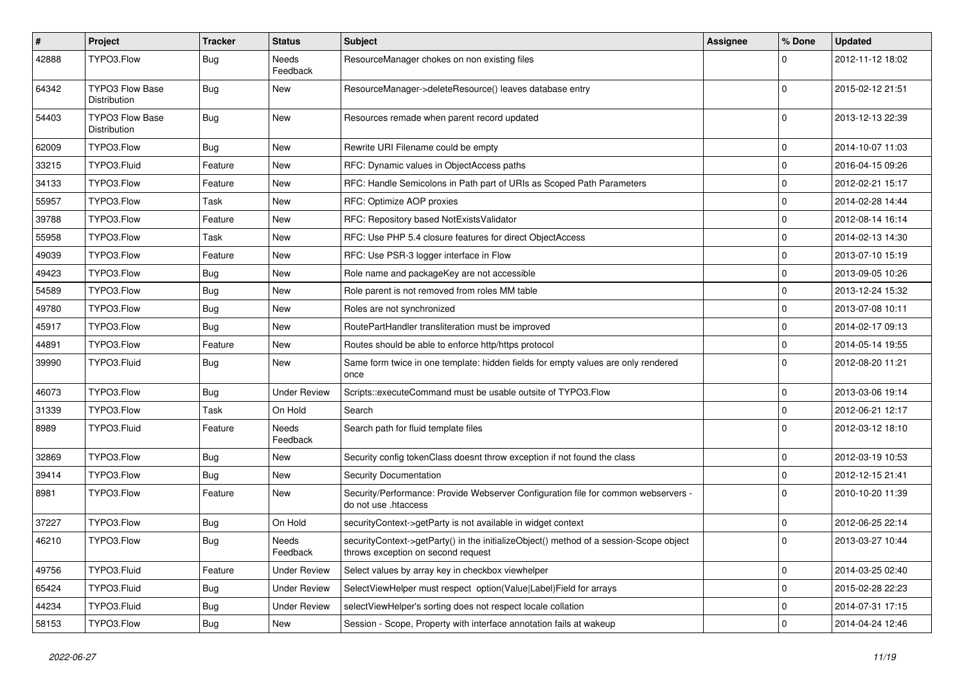| $\sharp$ | Project                                | <b>Tracker</b> | <b>Status</b>            | Subject                                                                                                                      | <b>Assignee</b> | % Done      | <b>Updated</b>   |
|----------|----------------------------------------|----------------|--------------------------|------------------------------------------------------------------------------------------------------------------------------|-----------------|-------------|------------------|
| 42888    | TYPO3.Flow                             | Bug            | Needs<br>Feedback        | ResourceManager chokes on non existing files                                                                                 |                 | $\Omega$    | 2012-11-12 18:02 |
| 64342    | TYPO3 Flow Base<br>Distribution        | Bug            | New                      | ResourceManager->deleteResource() leaves database entry                                                                      |                 | $\Omega$    | 2015-02-12 21:51 |
| 54403    | <b>TYPO3 Flow Base</b><br>Distribution | Bug            | <b>New</b>               | Resources remade when parent record updated                                                                                  |                 | $\mathbf 0$ | 2013-12-13 22:39 |
| 62009    | TYPO3.Flow                             | Bug            | <b>New</b>               | Rewrite URI Filename could be empty                                                                                          |                 | $\mathbf 0$ | 2014-10-07 11:03 |
| 33215    | TYPO3.Fluid                            | Feature        | New                      | RFC: Dynamic values in ObjectAccess paths                                                                                    |                 | $\mathbf 0$ | 2016-04-15 09:26 |
| 34133    | TYPO3.Flow                             | Feature        | New                      | RFC: Handle Semicolons in Path part of URIs as Scoped Path Parameters                                                        |                 | $\mathbf 0$ | 2012-02-21 15:17 |
| 55957    | TYPO3.Flow                             | Task           | New                      | RFC: Optimize AOP proxies                                                                                                    |                 | 0           | 2014-02-28 14:44 |
| 39788    | TYPO3.Flow                             | Feature        | New                      | RFC: Repository based NotExistsValidator                                                                                     |                 | $\mathbf 0$ | 2012-08-14 16:14 |
| 55958    | TYPO3.Flow                             | Task           | New                      | RFC: Use PHP 5.4 closure features for direct ObjectAccess                                                                    |                 | $\mathbf 0$ | 2014-02-13 14:30 |
| 49039    | TYPO3.Flow                             | Feature        | New                      | RFC: Use PSR-3 logger interface in Flow                                                                                      |                 | 0           | 2013-07-10 15:19 |
| 49423    | TYPO3.Flow                             | <b>Bug</b>     | New                      | Role name and packageKey are not accessible                                                                                  |                 | $\mathbf 0$ | 2013-09-05 10:26 |
| 54589    | TYPO3.Flow                             | Bug            | New                      | Role parent is not removed from roles MM table                                                                               |                 | 0           | 2013-12-24 15:32 |
| 49780    | TYPO3.Flow                             | <b>Bug</b>     | New                      | Roles are not synchronized                                                                                                   |                 | $\mathbf 0$ | 2013-07-08 10:11 |
| 45917    | TYPO3.Flow                             | <b>Bug</b>     | New                      | RoutePartHandler transliteration must be improved                                                                            |                 | $\mathbf 0$ | 2014-02-17 09:13 |
| 44891    | TYPO3.Flow                             | Feature        | New                      | Routes should be able to enforce http/https protocol                                                                         |                 | $\mathbf 0$ | 2014-05-14 19:55 |
| 39990    | TYPO3.Fluid                            | <b>Bug</b>     | New                      | Same form twice in one template: hidden fields for empty values are only rendered<br>once                                    |                 | $\Omega$    | 2012-08-20 11:21 |
| 46073    | TYPO3.Flow                             | Bug            | <b>Under Review</b>      | Scripts::executeCommand must be usable outsite of TYPO3.Flow                                                                 |                 | 0           | 2013-03-06 19:14 |
| 31339    | TYPO3.Flow                             | Task           | On Hold                  | Search                                                                                                                       |                 | $\mathbf 0$ | 2012-06-21 12:17 |
| 8989     | TYPO3.Fluid                            | Feature        | <b>Needs</b><br>Feedback | Search path for fluid template files                                                                                         |                 | $\Omega$    | 2012-03-12 18:10 |
| 32869    | TYPO3.Flow                             | <b>Bug</b>     | New                      | Security config tokenClass doesnt throw exception if not found the class                                                     |                 | $\mathbf 0$ | 2012-03-19 10:53 |
| 39414    | TYPO3.Flow                             | Bug            | <b>New</b>               | <b>Security Documentation</b>                                                                                                |                 | $\mathbf 0$ | 2012-12-15 21:41 |
| 8981     | TYPO3.Flow                             | Feature        | New                      | Security/Performance: Provide Webserver Configuration file for common webservers -<br>do not use .htaccess                   |                 | $\Omega$    | 2010-10-20 11:39 |
| 37227    | TYPO3.Flow                             | <b>Bug</b>     | On Hold                  | securityContext->getParty is not available in widget context                                                                 |                 | 0           | 2012-06-25 22:14 |
| 46210    | TYPO3.Flow                             | Bug            | Needs<br>Feedback        | securityContext->getParty() in the initializeObject() method of a session-Scope object<br>throws exception on second request |                 | $\Omega$    | 2013-03-27 10:44 |
| 49756    | TYPO3.Fluid                            | Feature        | <b>Under Review</b>      | Select values by array key in checkbox viewhelper                                                                            |                 | $\mathbf 0$ | 2014-03-25 02:40 |
| 65424    | TYPO3.Fluid                            | <b>Bug</b>     | <b>Under Review</b>      | SelectViewHelper must respect option(Value Label)Field for arrays                                                            |                 | $\mathbf 0$ | 2015-02-28 22:23 |
| 44234    | TYPO3.Fluid                            | <b>Bug</b>     | <b>Under Review</b>      | selectViewHelper's sorting does not respect locale collation                                                                 |                 | 0           | 2014-07-31 17:15 |
| 58153    | TYPO3.Flow                             | Bug            | New                      | Session - Scope, Property with interface annotation fails at wakeup                                                          |                 | $\mathbf 0$ | 2014-04-24 12:46 |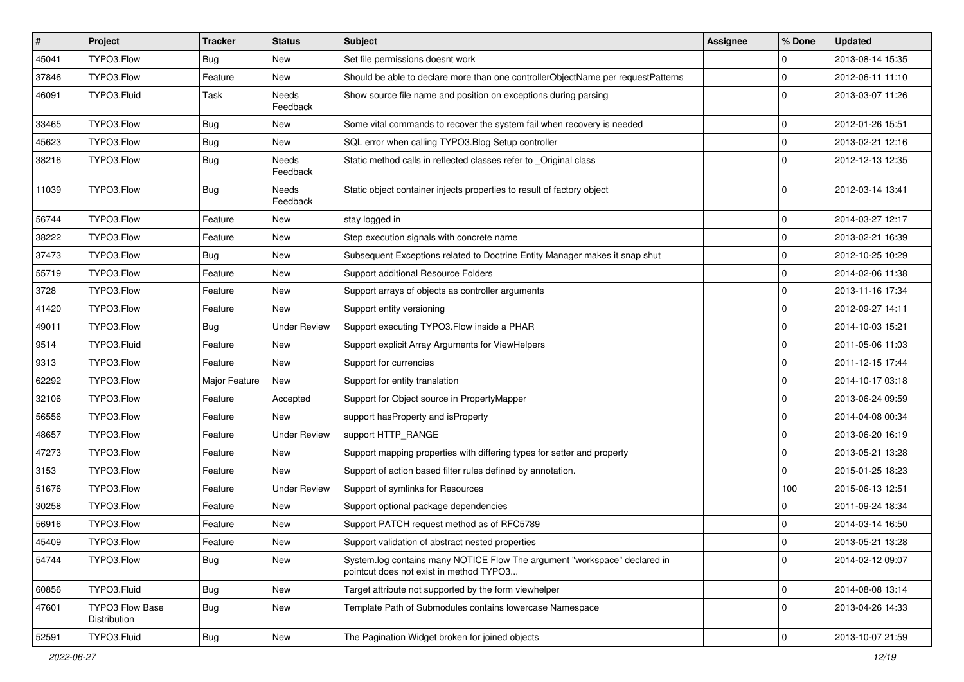| $\vert$ # | Project                                | <b>Tracker</b> | <b>Status</b>       | Subject                                                                                                              | <b>Assignee</b> | % Done         | <b>Updated</b>   |
|-----------|----------------------------------------|----------------|---------------------|----------------------------------------------------------------------------------------------------------------------|-----------------|----------------|------------------|
| 45041     | TYPO3.Flow                             | <b>Bug</b>     | New                 | Set file permissions doesnt work                                                                                     |                 | $\mathbf 0$    | 2013-08-14 15:35 |
| 37846     | TYPO3.Flow                             | Feature        | New                 | Should be able to declare more than one controllerObjectName per requestPatterns                                     |                 | $\mathbf 0$    | 2012-06-11 11:10 |
| 46091     | TYPO3.Fluid                            | Task           | Needs<br>Feedback   | Show source file name and position on exceptions during parsing                                                      |                 | $\Omega$       | 2013-03-07 11:26 |
| 33465     | TYPO3.Flow                             | Bug            | New                 | Some vital commands to recover the system fail when recovery is needed                                               |                 | $\mathbf 0$    | 2012-01-26 15:51 |
| 45623     | TYPO3.Flow                             | <b>Bug</b>     | New                 | SQL error when calling TYPO3.Blog Setup controller                                                                   |                 | $\mathbf 0$    | 2013-02-21 12:16 |
| 38216     | TYPO3.Flow                             | <b>Bug</b>     | Needs<br>Feedback   | Static method calls in reflected classes refer to _Original class                                                    |                 | $\Omega$       | 2012-12-13 12:35 |
| 11039     | TYPO3.Flow                             | <b>Bug</b>     | Needs<br>Feedback   | Static object container injects properties to result of factory object                                               |                 | $\Omega$       | 2012-03-14 13:41 |
| 56744     | TYPO3.Flow                             | Feature        | New                 | stay logged in                                                                                                       |                 | 0              | 2014-03-27 12:17 |
| 38222     | TYPO3.Flow                             | Feature        | New                 | Step execution signals with concrete name                                                                            |                 | $\mathbf 0$    | 2013-02-21 16:39 |
| 37473     | TYPO3.Flow                             | <b>Bug</b>     | New                 | Subsequent Exceptions related to Doctrine Entity Manager makes it snap shut                                          |                 | l 0            | 2012-10-25 10:29 |
| 55719     | TYPO3.Flow                             | Feature        | New                 | Support additional Resource Folders                                                                                  |                 | $\mathbf 0$    | 2014-02-06 11:38 |
| 3728      | TYPO3.Flow                             | Feature        | New                 | Support arrays of objects as controller arguments                                                                    |                 | $\overline{0}$ | 2013-11-16 17:34 |
| 41420     | TYPO3.Flow                             | Feature        | New                 | Support entity versioning                                                                                            |                 | 0              | 2012-09-27 14:11 |
| 49011     | TYPO3.Flow                             | <b>Bug</b>     | <b>Under Review</b> | Support executing TYPO3.Flow inside a PHAR                                                                           |                 | $\mathbf 0$    | 2014-10-03 15:21 |
| 9514      | TYPO3.Fluid                            | Feature        | <b>New</b>          | Support explicit Array Arguments for ViewHelpers                                                                     |                 | $\Omega$       | 2011-05-06 11:03 |
| 9313      | TYPO3.Flow                             | Feature        | New                 | Support for currencies                                                                                               |                 | 0              | 2011-12-15 17:44 |
| 62292     | TYPO3.Flow                             | Major Feature  | New                 | Support for entity translation                                                                                       |                 | 0              | 2014-10-17 03:18 |
| 32106     | TYPO3.Flow                             | Feature        | Accepted            | Support for Object source in PropertyMapper                                                                          |                 | 0              | 2013-06-24 09:59 |
| 56556     | TYPO3.Flow                             | Feature        | New                 | support has Property and is Property                                                                                 |                 | $\Omega$       | 2014-04-08 00:34 |
| 48657     | TYPO3.Flow                             | Feature        | <b>Under Review</b> | support HTTP_RANGE                                                                                                   |                 | $\Omega$       | 2013-06-20 16:19 |
| 47273     | TYPO3.Flow                             | Feature        | New                 | Support mapping properties with differing types for setter and property                                              |                 | 0              | 2013-05-21 13:28 |
| 3153      | TYPO3.Flow                             | Feature        | New                 | Support of action based filter rules defined by annotation.                                                          |                 | $\Omega$       | 2015-01-25 18:23 |
| 51676     | TYPO3.Flow                             | Feature        | <b>Under Review</b> | Support of symlinks for Resources                                                                                    |                 | 100            | 2015-06-13 12:51 |
| 30258     | TYPO3.Flow                             | Feature        | New                 | Support optional package dependencies                                                                                |                 | $\Omega$       | 2011-09-24 18:34 |
| 56916     | TYPO3.Flow                             | Feature        | New                 | Support PATCH request method as of RFC5789                                                                           |                 | $\Omega$       | 2014-03-14 16:50 |
| 45409     | TYPO3.Flow                             | Feature        | New                 | Support validation of abstract nested properties                                                                     |                 | l O            | 2013-05-21 13:28 |
| 54744     | TYPO3.Flow                             | Bug            | New                 | System.log contains many NOTICE Flow The argument "workspace" declared in<br>pointcut does not exist in method TYPO3 |                 | 0              | 2014-02-12 09:07 |
| 60856     | TYPO3.Fluid                            | <b>Bug</b>     | New                 | Target attribute not supported by the form viewhelper                                                                |                 | 0              | 2014-08-08 13:14 |
| 47601     | <b>TYPO3 Flow Base</b><br>Distribution | <b>Bug</b>     | New                 | Template Path of Submodules contains lowercase Namespace                                                             |                 | 0              | 2013-04-26 14:33 |
| 52591     | TYPO3.Fluid                            | <b>Bug</b>     | New                 | The Pagination Widget broken for joined objects                                                                      |                 | 0              | 2013-10-07 21:59 |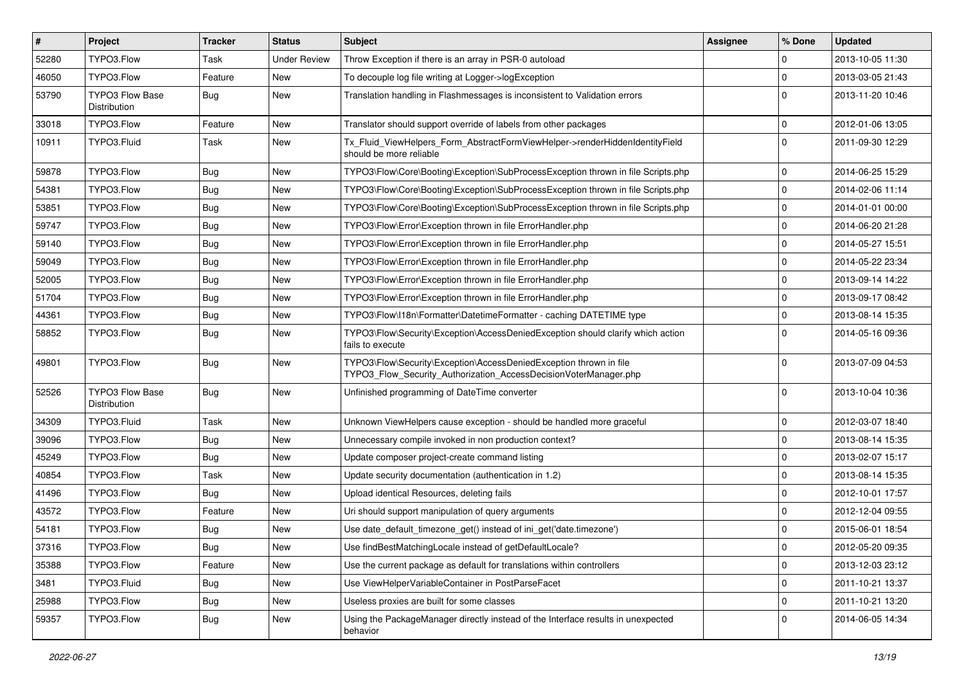| $\vert$ # | <b>Project</b>                         | <b>Tracker</b> | <b>Status</b>       | Subject                                                                                                                                | <b>Assignee</b> | % Done         | <b>Updated</b>   |
|-----------|----------------------------------------|----------------|---------------------|----------------------------------------------------------------------------------------------------------------------------------------|-----------------|----------------|------------------|
| 52280     | TYPO3.Flow                             | Task           | <b>Under Review</b> | Throw Exception if there is an array in PSR-0 autoload                                                                                 |                 | $\Omega$       | 2013-10-05 11:30 |
| 46050     | TYPO3.Flow                             | Feature        | New                 | To decouple log file writing at Logger->logException                                                                                   |                 | $\Omega$       | 2013-03-05 21:43 |
| 53790     | TYPO3 Flow Base<br>Distribution        | <b>Bug</b>     | New                 | Translation handling in Flashmessages is inconsistent to Validation errors                                                             |                 | $\Omega$       | 2013-11-20 10:46 |
| 33018     | TYPO3.Flow                             | Feature        | <b>New</b>          | Translator should support override of labels from other packages                                                                       |                 | $\Omega$       | 2012-01-06 13:05 |
| 10911     | TYPO3.Fluid                            | Task           | New                 | Tx Fluid ViewHelpers Form AbstractFormViewHelper->renderHiddenIdentityField<br>should be more reliable                                 |                 | $\Omega$       | 2011-09-30 12:29 |
| 59878     | TYPO3.Flow                             | Bug            | New                 | TYPO3\Flow\Core\Booting\Exception\SubProcessException thrown in file Scripts.php                                                       |                 | $\mathbf 0$    | 2014-06-25 15:29 |
| 54381     | TYPO3.Flow                             | <b>Bug</b>     | <b>New</b>          | TYPO3\Flow\Core\Booting\Exception\SubProcessException thrown in file Scripts.php                                                       |                 | $\Omega$       | 2014-02-06 11:14 |
| 53851     | TYPO3.Flow                             | Bug            | New                 | TYPO3\Flow\Core\Booting\Exception\SubProcessException thrown in file Scripts.php                                                       |                 | $\Omega$       | 2014-01-01 00:00 |
| 59747     | TYPO3.Flow                             | <b>Bug</b>     | New                 | TYPO3\Flow\Error\Exception thrown in file ErrorHandler.php                                                                             |                 | l 0            | 2014-06-20 21:28 |
| 59140     | TYPO3.Flow                             | <b>Bug</b>     | New                 | TYPO3\Flow\Error\Exception thrown in file ErrorHandler.php                                                                             |                 | $\overline{0}$ | 2014-05-27 15:51 |
| 59049     | TYPO3.Flow                             | Bug            | New                 | TYPO3\Flow\Error\Exception thrown in file ErrorHandler.php                                                                             |                 | 0              | 2014-05-22 23:34 |
| 52005     | TYPO3.Flow                             | <b>Bug</b>     | New                 | TYPO3\Flow\Error\Exception thrown in file ErrorHandler.php                                                                             |                 | $\Omega$       | 2013-09-14 14:22 |
| 51704     | TYPO3.Flow                             | <b>Bug</b>     | <b>New</b>          | TYPO3\Flow\Error\Exception thrown in file ErrorHandler.php                                                                             |                 | l 0            | 2013-09-17 08:42 |
| 44361     | TYPO3.Flow                             | Bug            | New                 | TYPO3\Flow\I18n\Formatter\DatetimeFormatter - caching DATETIME type                                                                    |                 | 0              | 2013-08-14 15:35 |
| 58852     | TYPO3.Flow                             | Bug            | New                 | TYPO3\Flow\Security\Exception\AccessDeniedException should clarify which action<br>fails to execute                                    |                 | $\Omega$       | 2014-05-16 09:36 |
| 49801     | TYPO3.Flow                             | <b>Bug</b>     | <b>New</b>          | TYPO3\Flow\Security\Exception\AccessDeniedException thrown in file<br>TYPO3_Flow_Security_Authorization_AccessDecisionVoterManager.php |                 | $\Omega$       | 2013-07-09 04:53 |
| 52526     | <b>TYPO3 Flow Base</b><br>Distribution | <b>Bug</b>     | <b>New</b>          | Unfinished programming of DateTime converter                                                                                           |                 | $\Omega$       | 2013-10-04 10:36 |
| 34309     | TYPO3.Fluid                            | Task           | New                 | Unknown ViewHelpers cause exception - should be handled more graceful                                                                  |                 | $\Omega$       | 2012-03-07 18:40 |
| 39096     | TYPO3.Flow                             | Bug            | New                 | Unnecessary compile invoked in non production context?                                                                                 |                 | $\mathbf 0$    | 2013-08-14 15:35 |
| 45249     | TYPO3.Flow                             | <b>Bug</b>     | <b>New</b>          | Update composer project-create command listing                                                                                         |                 | $\Omega$       | 2013-02-07 15:17 |
| 40854     | TYPO3.Flow                             | Task           | <b>New</b>          | Update security documentation (authentication in 1.2)                                                                                  |                 | $\Omega$       | 2013-08-14 15:35 |
| 41496     | TYPO3.Flow                             | Bug            | New                 | Upload identical Resources, deleting fails                                                                                             |                 | $\overline{0}$ | 2012-10-01 17:57 |
| 43572     | TYPO3.Flow                             | Feature        | New                 | Uri should support manipulation of query arguments                                                                                     |                 | $\overline{0}$ | 2012-12-04 09:55 |
| 54181     | TYPO3.Flow                             | Bug            | New                 | Use date_default_timezone_get() instead of ini_get('date.timezone')                                                                    |                 | $\mathbf 0$    | 2015-06-01 18:54 |
| 37316     | TYPO3.Flow                             | <b>Bug</b>     | New                 | Use findBestMatchingLocale instead of getDefaultLocale?                                                                                |                 | 1 O            | 2012-05-20 09:35 |
| 35388     | TYPO3.Flow                             | Feature        | New                 | Use the current package as default for translations within controllers                                                                 |                 | 0              | 2013-12-03 23:12 |
| 3481      | TYPO3.Fluid                            | <b>Bug</b>     | New                 | Use ViewHelperVariableContainer in PostParseFacet                                                                                      |                 | 0              | 2011-10-21 13:37 |
| 25988     | TYPO3.Flow                             | <b>Bug</b>     | New                 | Useless proxies are built for some classes                                                                                             |                 | 0              | 2011-10-21 13:20 |
| 59357     | TYPO3.Flow                             | <b>Bug</b>     | New                 | Using the PackageManager directly instead of the Interface results in unexpected<br>behavior                                           |                 | 0              | 2014-06-05 14:34 |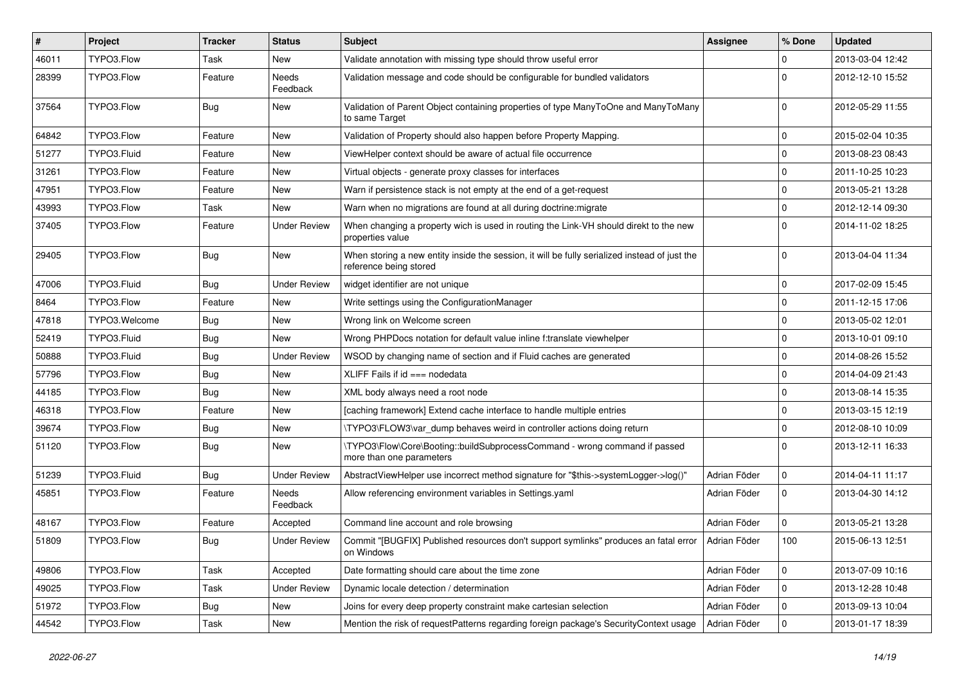| $\vert$ # | Project       | <b>Tracker</b> | <b>Status</b>       | Subject                                                                                                                 | <b>Assignee</b> | % Done       | <b>Updated</b>   |
|-----------|---------------|----------------|---------------------|-------------------------------------------------------------------------------------------------------------------------|-----------------|--------------|------------------|
| 46011     | TYPO3.Flow    | Task           | New                 | Validate annotation with missing type should throw useful error                                                         |                 | 0            | 2013-03-04 12:42 |
| 28399     | TYPO3.Flow    | Feature        | Needs<br>Feedback   | Validation message and code should be configurable for bundled validators                                               |                 | $\Omega$     | 2012-12-10 15:52 |
| 37564     | TYPO3.Flow    | Bug            | New                 | Validation of Parent Object containing properties of type ManyToOne and ManyToMany<br>to same Target                    |                 | $\Omega$     | 2012-05-29 11:55 |
| 64842     | TYPO3.Flow    | Feature        | <b>New</b>          | Validation of Property should also happen before Property Mapping.                                                      |                 | $\mathbf 0$  | 2015-02-04 10:35 |
| 51277     | TYPO3.Fluid   | Feature        | New                 | ViewHelper context should be aware of actual file occurrence                                                            |                 | $\mathbf 0$  | 2013-08-23 08:43 |
| 31261     | TYPO3.Flow    | Feature        | New                 | Virtual objects - generate proxy classes for interfaces                                                                 |                 | $\mathbf 0$  | 2011-10-25 10:23 |
| 47951     | TYPO3.Flow    | Feature        | New                 | Warn if persistence stack is not empty at the end of a get-request                                                      |                 | $\mathbf 0$  | 2013-05-21 13:28 |
| 43993     | TYPO3.Flow    | Task           | New                 | Warn when no migrations are found at all during doctrine: migrate                                                       |                 | $\mathbf 0$  | 2012-12-14 09:30 |
| 37405     | TYPO3.Flow    | Feature        | <b>Under Review</b> | When changing a property wich is used in routing the Link-VH should direkt to the new<br>properties value               |                 | $\Omega$     | 2014-11-02 18:25 |
| 29405     | TYPO3.Flow    | Bug            | New                 | When storing a new entity inside the session, it will be fully serialized instead of just the<br>reference being stored |                 | $\Omega$     | 2013-04-04 11:34 |
| 47006     | TYPO3.Fluid   | Bug            | <b>Under Review</b> | widget identifier are not unique                                                                                        |                 | $\mathbf 0$  | 2017-02-09 15:45 |
| 8464      | TYPO3.Flow    | Feature        | New                 | Write settings using the ConfigurationManager                                                                           |                 | $\mathbf 0$  | 2011-12-15 17:06 |
| 47818     | TYPO3.Welcome | <b>Bug</b>     | New                 | Wrong link on Welcome screen                                                                                            |                 | $\mathbf 0$  | 2013-05-02 12:01 |
| 52419     | TYPO3.Fluid   | <b>Bug</b>     | New                 | Wrong PHPDocs notation for default value inline f:translate viewhelper                                                  |                 | $\mathbf 0$  | 2013-10-01 09:10 |
| 50888     | TYPO3.Fluid   | <b>Bug</b>     | <b>Under Review</b> | WSOD by changing name of section and if Fluid caches are generated                                                      |                 | $\mathbf 0$  | 2014-08-26 15:52 |
| 57796     | TYPO3.Flow    | <b>Bug</b>     | New                 | XLIFF Fails if $id ==$ nodedata                                                                                         |                 | $\mathbf 0$  | 2014-04-09 21:43 |
| 44185     | TYPO3.Flow    | Bug            | New                 | XML body always need a root node                                                                                        |                 | $\mathbf 0$  | 2013-08-14 15:35 |
| 46318     | TYPO3.Flow    | Feature        | New                 | [caching framework] Extend cache interface to handle multiple entries                                                   |                 | $\mathbf 0$  | 2013-03-15 12:19 |
| 39674     | TYPO3.Flow    | <b>Bug</b>     | New                 | \TYPO3\FLOW3\var_dump behaves weird in controller actions doing return                                                  |                 | $\mathbf 0$  | 2012-08-10 10:09 |
| 51120     | TYPO3.Flow    | Bug            | New                 | \TYPO3\Flow\Core\Booting::buildSubprocessCommand - wrong command if passed<br>more than one parameters                  |                 | $\Omega$     | 2013-12-11 16:33 |
| 51239     | TYPO3.Fluid   | Bug            | <b>Under Review</b> | AbstractViewHelper use incorrect method signature for "\$this->systemLogger->log()"                                     | Adrian Föder    | $\mathsf{O}$ | 2014-04-11 11:17 |
| 45851     | TYPO3.Flow    | Feature        | Needs<br>Feedback   | Allow referencing environment variables in Settings.yaml                                                                | Adrian Föder    | $\mathbf 0$  | 2013-04-30 14:12 |
| 48167     | TYPO3.Flow    | Feature        | Accepted            | Command line account and role browsing                                                                                  | Adrian Föder    | $\mathbf 0$  | 2013-05-21 13:28 |
| 51809     | TYPO3.Flow    | <b>Bug</b>     | <b>Under Review</b> | Commit "[BUGFIX] Published resources don't support symlinks" produces an fatal error<br>on Windows                      | Adrian Föder    | 100          | 2015-06-13 12:51 |
| 49806     | TYPO3.Flow    | Task           | Accepted            | Date formatting should care about the time zone                                                                         | Adrian Föder    | $\mathbf 0$  | 2013-07-09 10:16 |
| 49025     | TYPO3.Flow    | Task           | <b>Under Review</b> | Dynamic locale detection / determination                                                                                | Adrian Föder    | $\mathbf 0$  | 2013-12-28 10:48 |
| 51972     | TYPO3.Flow    | <b>Bug</b>     | New                 | Joins for every deep property constraint make cartesian selection                                                       | Adrian Föder    | 0            | 2013-09-13 10:04 |
| 44542     | TYPO3.Flow    | Task           | New                 | Mention the risk of requestPatterns regarding foreign package's SecurityContext usage                                   | Adrian Föder    | $\mathbf 0$  | 2013-01-17 18:39 |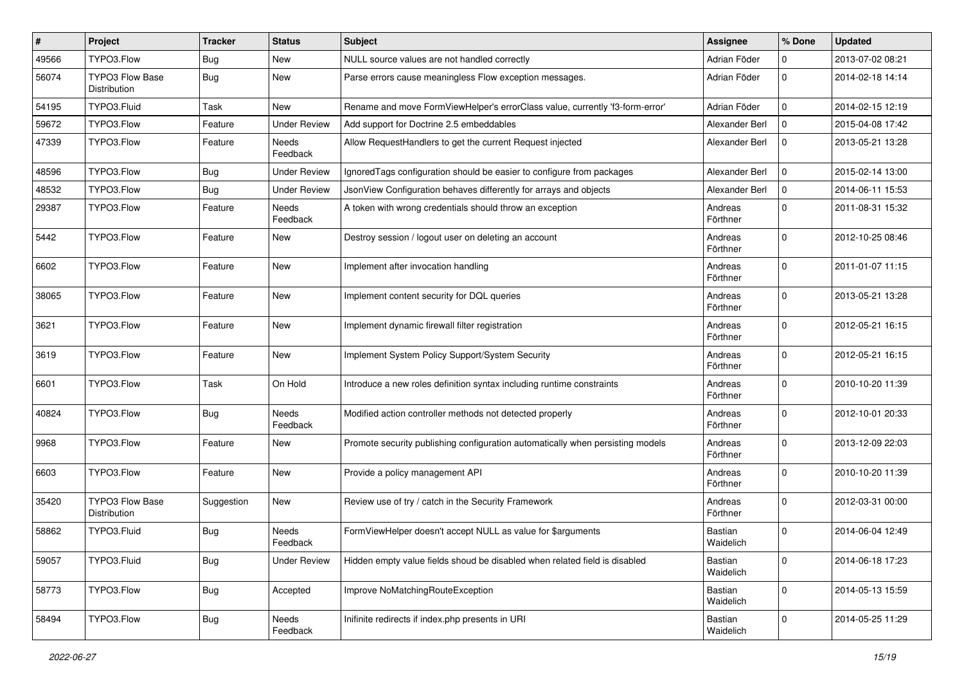| $\pmb{\#}$ | Project                                | <b>Tracker</b> | <b>Status</b>            | <b>Subject</b>                                                                 | <b>Assignee</b>      | % Done      | <b>Updated</b>   |
|------------|----------------------------------------|----------------|--------------------------|--------------------------------------------------------------------------------|----------------------|-------------|------------------|
| 49566      | TYPO3.Flow                             | <b>Bug</b>     | New                      | NULL source values are not handled correctly                                   | Adrian Föder         | 0           | 2013-07-02 08:21 |
| 56074      | <b>TYPO3 Flow Base</b><br>Distribution | Bug            | New                      | Parse errors cause meaningless Flow exception messages.                        | Adrian Föder         | $\mathbf 0$ | 2014-02-18 14:14 |
| 54195      | TYPO3.Fluid                            | Task           | New                      | Rename and move FormViewHelper's errorClass value, currently 'f3-form-error'   | Adrian Föder         | 0           | 2014-02-15 12:19 |
| 59672      | TYPO3.Flow                             | Feature        | <b>Under Review</b>      | Add support for Doctrine 2.5 embeddables                                       | Alexander Berl       | 0           | 2015-04-08 17:42 |
| 47339      | TYPO3.Flow                             | Feature        | Needs<br>Feedback        | Allow RequestHandlers to get the current Request injected                      | Alexander Berl       | $\mathbf 0$ | 2013-05-21 13:28 |
| 48596      | TYPO3.Flow                             | Bug            | <b>Under Review</b>      | IgnoredTags configuration should be easier to configure from packages          | Alexander Berl       | $\mathbf 0$ | 2015-02-14 13:00 |
| 48532      | TYPO3.Flow                             | Bug            | <b>Under Review</b>      | JsonView Configuration behaves differently for arrays and objects              | Alexander Berl       | $\mathbf 0$ | 2014-06-11 15:53 |
| 29387      | TYPO3.Flow                             | Feature        | <b>Needs</b><br>Feedback | A token with wrong credentials should throw an exception                       | Andreas<br>Förthner  | $\Omega$    | 2011-08-31 15:32 |
| 5442       | TYPO3.Flow                             | Feature        | New                      | Destroy session / logout user on deleting an account                           | Andreas<br>Förthner  | 0           | 2012-10-25 08:46 |
| 6602       | TYPO3.Flow                             | Feature        | New                      | Implement after invocation handling                                            | Andreas<br>Förthner  | 0           | 2011-01-07 11:15 |
| 38065      | TYPO3.Flow                             | Feature        | New                      | Implement content security for DQL queries                                     | Andreas<br>Förthner  | $\mathbf 0$ | 2013-05-21 13:28 |
| 3621       | TYPO3.Flow                             | Feature        | New                      | Implement dynamic firewall filter registration                                 | Andreas<br>Förthner  | $\Omega$    | 2012-05-21 16:15 |
| 3619       | TYPO3.Flow                             | Feature        | New                      | Implement System Policy Support/System Security                                | Andreas<br>Förthner  | $\Omega$    | 2012-05-21 16:15 |
| 6601       | TYPO3.Flow                             | Task           | On Hold                  | Introduce a new roles definition syntax including runtime constraints          | Andreas<br>Förthner  | $\mathbf 0$ | 2010-10-20 11:39 |
| 40824      | TYPO3.Flow                             | <b>Bug</b>     | <b>Needs</b><br>Feedback | Modified action controller methods not detected properly                       | Andreas<br>Förthner  | $\mathbf 0$ | 2012-10-01 20:33 |
| 9968       | TYPO3.Flow                             | Feature        | New                      | Promote security publishing configuration automatically when persisting models | Andreas<br>Förthner  | 0           | 2013-12-09 22:03 |
| 6603       | TYPO3.Flow                             | Feature        | New                      | Provide a policy management API                                                | Andreas<br>Förthner  | 0           | 2010-10-20 11:39 |
| 35420      | TYPO3 Flow Base<br>Distribution        | Suggestion     | New                      | Review use of try / catch in the Security Framework                            | Andreas<br>Förthner  | $\Omega$    | 2012-03-31 00:00 |
| 58862      | TYPO3.Fluid                            | <b>Bug</b>     | Needs<br>Feedback        | FormViewHelper doesn't accept NULL as value for \$arguments                    | Bastian<br>Waidelich | $\Omega$    | 2014-06-04 12:49 |
| 59057      | TYPO3.Fluid                            | <b>Bug</b>     | <b>Under Review</b>      | Hidden empty value fields shoud be disabled when related field is disabled     | Bastian<br>Waidelich | 0           | 2014-06-18 17:23 |
| 58773      | TYPO3.Flow                             | <b>Bug</b>     | Accepted                 | Improve NoMatchingRouteException                                               | Bastian<br>Waidelich | 0           | 2014-05-13 15:59 |
| 58494      | TYPO3.Flow                             | Bug            | Needs<br>Feedback        | Inifinite redirects if index.php presents in URI                               | Bastian<br>Waidelich | 0           | 2014-05-25 11:29 |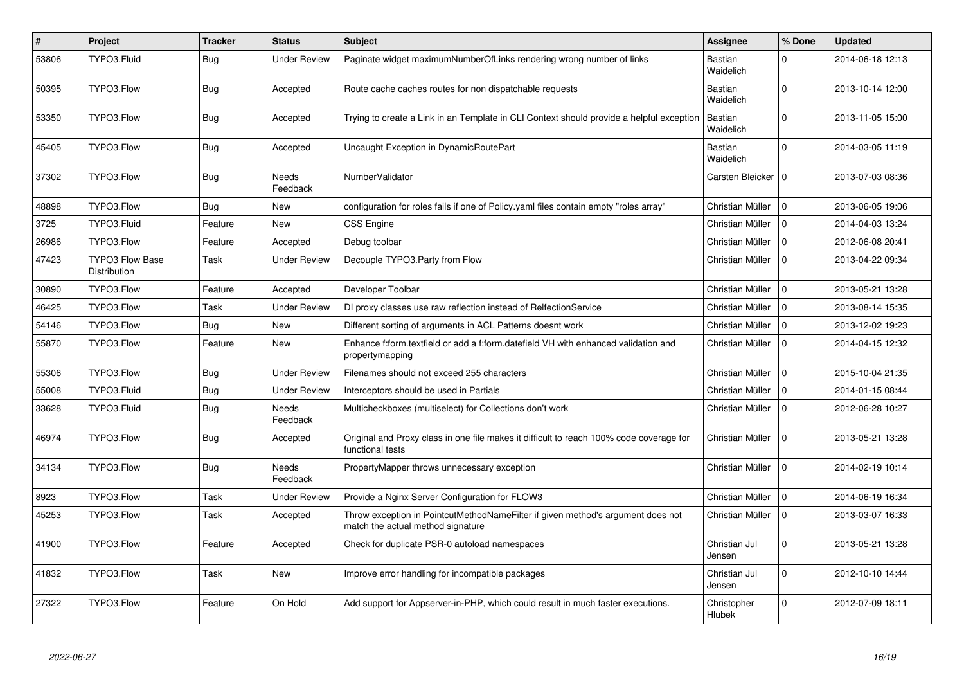| $\vert$ # | Project                                | <b>Tracker</b> | <b>Status</b>       | <b>Subject</b>                                                                                                       | Assignee                | % Done      | <b>Updated</b>   |
|-----------|----------------------------------------|----------------|---------------------|----------------------------------------------------------------------------------------------------------------------|-------------------------|-------------|------------------|
| 53806     | TYPO3.Fluid                            | <b>Bug</b>     | Under Review        | Paginate widget maximumNumberOfLinks rendering wrong number of links                                                 | Bastian<br>Waidelich    | $\Omega$    | 2014-06-18 12:13 |
| 50395     | TYPO3.Flow                             | Bug            | Accepted            | Route cache caches routes for non dispatchable requests                                                              | Bastian<br>Waidelich    | $\Omega$    | 2013-10-14 12:00 |
| 53350     | TYPO3.Flow                             | <b>Bug</b>     | Accepted            | Trying to create a Link in an Template in CLI Context should provide a helpful exception                             | Bastian<br>Waidelich    | 0           | 2013-11-05 15:00 |
| 45405     | TYPO3.Flow                             | <b>Bug</b>     | Accepted            | Uncaught Exception in DynamicRoutePart                                                                               | Bastian<br>Waidelich    | $\Omega$    | 2014-03-05 11:19 |
| 37302     | TYPO3.Flow                             | <b>Bug</b>     | Needs<br>Feedback   | NumberValidator                                                                                                      | Carsten Bleicker        | I٥          | 2013-07-03 08:36 |
| 48898     | TYPO3.Flow                             | <b>Bug</b>     | New                 | configuration for roles fails if one of Policy yaml files contain empty "roles array"                                | Christian Müller        | $\Omega$    | 2013-06-05 19:06 |
| 3725      | TYPO3.Fluid                            | Feature        | <b>New</b>          | <b>CSS Engine</b>                                                                                                    | Christian Müller        | $\mathbf 0$ | 2014-04-03 13:24 |
| 26986     | TYPO3.Flow                             | Feature        | Accepted            | Debug toolbar                                                                                                        | Christian Müller        | $\Omega$    | 2012-06-08 20:41 |
| 47423     | TYPO3 Flow Base<br><b>Distribution</b> | Task           | Under Review        | Decouple TYPO3.Party from Flow                                                                                       | Christian Müller        | $\Omega$    | 2013-04-22 09:34 |
| 30890     | TYPO3.Flow                             | Feature        | Accepted            | Developer Toolbar                                                                                                    | Christian Müller        | $\Omega$    | 2013-05-21 13:28 |
| 46425     | TYPO3.Flow                             | Task           | Under Review        | DI proxy classes use raw reflection instead of RelfectionService                                                     | Christian Müller        | $\Omega$    | 2013-08-14 15:35 |
| 54146     | TYPO3.Flow                             | <b>Bug</b>     | <b>New</b>          | Different sorting of arguments in ACL Patterns doesnt work                                                           | Christian Müller        | $\Omega$    | 2013-12-02 19:23 |
| 55870     | TYPO3.Flow                             | Feature        | New                 | Enhance f:form.textfield or add a f:form.datefield VH with enhanced validation and<br>propertymapping                | Christian Müller        | $\Omega$    | 2014-04-15 12:32 |
| 55306     | TYPO3.Flow                             | Bug            | <b>Under Review</b> | Filenames should not exceed 255 characters                                                                           | Christian Müller        | $\mathbf 0$ | 2015-10-04 21:35 |
| 55008     | TYPO3.Fluid                            | <b>Bug</b>     | <b>Under Review</b> | Interceptors should be used in Partials                                                                              | Christian Müller        | $\mathbf 0$ | 2014-01-15 08:44 |
| 33628     | TYPO3.Fluid                            | <b>Bug</b>     | Needs<br>Feedback   | Multicheckboxes (multiselect) for Collections don't work                                                             | Christian Müller        | $\mathbf 0$ | 2012-06-28 10:27 |
| 46974     | TYPO3.Flow                             | <b>Bug</b>     | Accepted            | Original and Proxy class in one file makes it difficult to reach 100% code coverage for<br>functional tests          | Christian Müller        | 0           | 2013-05-21 13:28 |
| 34134     | TYPO3.Flow                             | <b>Bug</b>     | Needs<br>Feedback   | PropertyMapper throws unnecessary exception                                                                          | Christian Müller        | 0           | 2014-02-19 10:14 |
| 8923      | TYPO3.Flow                             | Task           | <b>Under Review</b> | Provide a Nginx Server Configuration for FLOW3                                                                       | Christian Müller        | $\mathbf 0$ | 2014-06-19 16:34 |
| 45253     | TYPO3.Flow                             | Task           | Accepted            | Throw exception in PointcutMethodNameFilter if given method's argument does not<br>match the actual method signature | Christian Müller        | $\Omega$    | 2013-03-07 16:33 |
| 41900     | TYPO3.Flow                             | Feature        | Accepted            | Check for duplicate PSR-0 autoload namespaces                                                                        | Christian Jul<br>Jensen | $\Omega$    | 2013-05-21 13:28 |
| 41832     | TYPO3.Flow                             | Task           | <b>New</b>          | Improve error handling for incompatible packages                                                                     | Christian Jul<br>Jensen | $\mathbf 0$ | 2012-10-10 14:44 |
| 27322     | TYPO3.Flow                             | Feature        | On Hold             | Add support for Appserver-in-PHP, which could result in much faster executions.                                      | Christopher<br>Hlubek   | 0           | 2012-07-09 18:11 |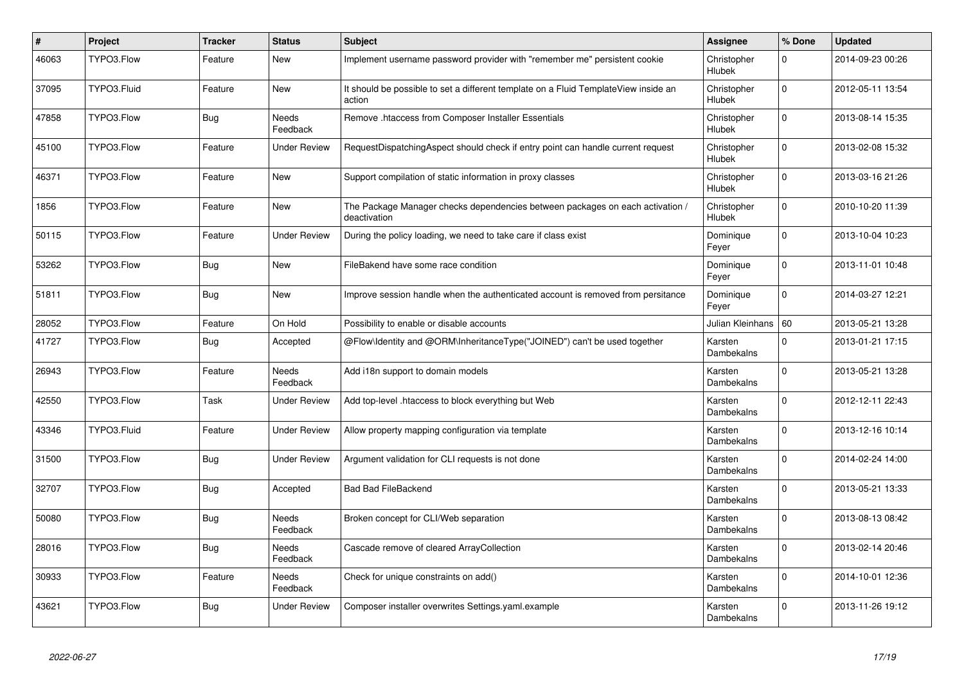| $\vert$ # | Project     | <b>Tracker</b> | <b>Status</b>            | <b>Subject</b>                                                                                | Assignee                     | % Done      | <b>Updated</b>   |
|-----------|-------------|----------------|--------------------------|-----------------------------------------------------------------------------------------------|------------------------------|-------------|------------------|
| 46063     | TYPO3.Flow  | Feature        | New                      | Implement username password provider with "remember me" persistent cookie                     | Christopher<br>Hlubek        | $\mathbf 0$ | 2014-09-23 00:26 |
| 37095     | TYPO3.Fluid | Feature        | New                      | It should be possible to set a different template on a Fluid TemplateView inside an<br>action | Christopher<br>Hlubek        | $\mathbf 0$ | 2012-05-11 13:54 |
| 47858     | TYPO3.Flow  | Bug            | <b>Needs</b><br>Feedback | Remove .htaccess from Composer Installer Essentials                                           | Christopher<br>Hlubek        | $\Omega$    | 2013-08-14 15:35 |
| 45100     | TYPO3.Flow  | Feature        | Under Review             | RequestDispatchingAspect should check if entry point can handle current request               | Christopher<br>Hlubek        | $\Omega$    | 2013-02-08 15:32 |
| 46371     | TYPO3.Flow  | Feature        | <b>New</b>               | Support compilation of static information in proxy classes                                    | Christopher<br>Hlubek        | $\mathbf 0$ | 2013-03-16 21:26 |
| 1856      | TYPO3.Flow  | Feature        | New                      | The Package Manager checks dependencies between packages on each activation /<br>deactivation | Christopher<br>Hlubek        | $\mathbf 0$ | 2010-10-20 11:39 |
| 50115     | TYPO3.Flow  | Feature        | Under Review             | During the policy loading, we need to take care if class exist                                | Dominique<br>Feyer           | $\Omega$    | 2013-10-04 10:23 |
| 53262     | TYPO3.Flow  | <b>Bug</b>     | New                      | FileBakend have some race condition                                                           | Dominique<br>Feyer           | $\mathbf 0$ | 2013-11-01 10:48 |
| 51811     | TYPO3.Flow  | <b>Bug</b>     | New                      | Improve session handle when the authenticated account is removed from persitance              | Dominique<br>Feyer           | $\Omega$    | 2014-03-27 12:21 |
| 28052     | TYPO3.Flow  | Feature        | On Hold                  | Possibility to enable or disable accounts                                                     | Julian Kleinhans   60        |             | 2013-05-21 13:28 |
| 41727     | TYPO3.Flow  | Bug            | Accepted                 | @Flow\Identity and @ORM\InheritanceType("JOINED") can't be used together                      | Karsten<br>Dambekalns        | $\Omega$    | 2013-01-21 17:15 |
| 26943     | TYPO3.Flow  | Feature        | Needs<br>Feedback        | Add i18n support to domain models                                                             | Karsten<br>Dambekalns        | $\Omega$    | 2013-05-21 13:28 |
| 42550     | TYPO3.Flow  | Task           | Under Review             | Add top-level .htaccess to block everything but Web                                           | Karsten<br>Dambekalns        | $\Omega$    | 2012-12-11 22:43 |
| 43346     | TYPO3.Fluid | Feature        | Under Review             | Allow property mapping configuration via template                                             | Karsten<br><b>Dambekalns</b> | $\mathbf 0$ | 2013-12-16 10:14 |
| 31500     | TYPO3.Flow  | Bug            | <b>Under Review</b>      | Argument validation for CLI requests is not done                                              | Karsten<br>Dambekalns        | $\Omega$    | 2014-02-24 14:00 |
| 32707     | TYPO3.Flow  | <b>Bug</b>     | Accepted                 | <b>Bad Bad FileBackend</b>                                                                    | Karsten<br>Dambekalns        | $\Omega$    | 2013-05-21 13:33 |
| 50080     | TYPO3.Flow  | Bug            | Needs<br>Feedback        | Broken concept for CLI/Web separation                                                         | Karsten<br>Dambekalns        | $\Omega$    | 2013-08-13 08:42 |
| 28016     | TYPO3.Flow  | Bug            | Needs<br>Feedback        | Cascade remove of cleared ArrayCollection                                                     | Karsten<br>Dambekalns        | $\Omega$    | 2013-02-14 20:46 |
| 30933     | TYPO3.Flow  | Feature        | Needs<br>Feedback        | Check for unique constraints on add()                                                         | Karsten<br>Dambekalns        | $\Omega$    | 2014-10-01 12:36 |
| 43621     | TYPO3.Flow  | <b>Bug</b>     | Under Review             | Composer installer overwrites Settings yaml.example                                           | Karsten<br>Dambekalns        | $\Omega$    | 2013-11-26 19:12 |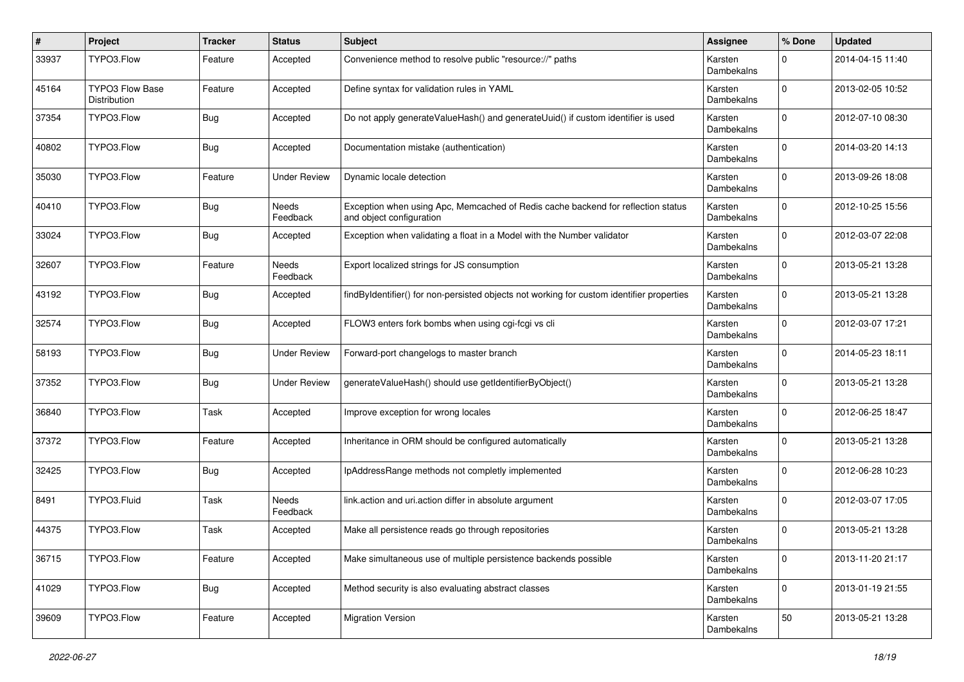| $\pmb{\#}$ | Project                                       | <b>Tracker</b> | <b>Status</b>       | <b>Subject</b>                                                                                               | <b>Assignee</b>              | % Done      | <b>Updated</b>   |
|------------|-----------------------------------------------|----------------|---------------------|--------------------------------------------------------------------------------------------------------------|------------------------------|-------------|------------------|
| 33937      | TYPO3.Flow                                    | Feature        | Accepted            | Convenience method to resolve public "resource://" paths                                                     | Karsten<br>Dambekalns        | 0           | 2014-04-15 11:40 |
| 45164      | <b>TYPO3 Flow Base</b><br><b>Distribution</b> | Feature        | Accepted            | Define syntax for validation rules in YAML                                                                   | Karsten<br><b>Dambekalns</b> | $\Omega$    | 2013-02-05 10:52 |
| 37354      | TYPO3.Flow                                    | <b>Bug</b>     | Accepted            | Do not apply generate Value Hash() and generate Uuid() if custom identifier is used                          | Karsten<br>Dambekalns        | $\Omega$    | 2012-07-10 08:30 |
| 40802      | TYPO3.Flow                                    | <b>Bug</b>     | Accepted            | Documentation mistake (authentication)                                                                       | Karsten<br>Dambekalns        | $\Omega$    | 2014-03-20 14:13 |
| 35030      | TYPO3.Flow                                    | Feature        | <b>Under Review</b> | Dynamic locale detection                                                                                     | Karsten<br>Dambekalns        | $\Omega$    | 2013-09-26 18:08 |
| 40410      | TYPO3.Flow                                    | <b>Bug</b>     | Needs<br>Feedback   | Exception when using Apc, Memcached of Redis cache backend for reflection status<br>and object configuration | Karsten<br>Dambekalns        | $\Omega$    | 2012-10-25 15:56 |
| 33024      | TYPO3.Flow                                    | Bug            | Accepted            | Exception when validating a float in a Model with the Number validator                                       | Karsten<br>Dambekalns        | $\Omega$    | 2012-03-07 22:08 |
| 32607      | TYPO3.Flow                                    | Feature        | Needs<br>Feedback   | Export localized strings for JS consumption                                                                  | Karsten<br>Dambekalns        | $\Omega$    | 2013-05-21 13:28 |
| 43192      | TYPO3.Flow                                    | <b>Bug</b>     | Accepted            | findByIdentifier() for non-persisted objects not working for custom identifier properties                    | Karsten<br>Dambekalns        | $\Omega$    | 2013-05-21 13:28 |
| 32574      | TYPO3.Flow                                    | <b>Bug</b>     | Accepted            | FLOW3 enters fork bombs when using cgi-fcgi vs cli                                                           | Karsten<br>Dambekalns        | $\Omega$    | 2012-03-07 17:21 |
| 58193      | TYPO3.Flow                                    | <b>Bug</b>     | <b>Under Review</b> | Forward-port changelogs to master branch                                                                     | Karsten<br>Dambekalns        | $\Omega$    | 2014-05-23 18:11 |
| 37352      | TYPO3.Flow                                    | <b>Bug</b>     | <b>Under Review</b> | generateValueHash() should use getIdentifierByObject()                                                       | Karsten<br>Dambekalns        | $\Omega$    | 2013-05-21 13:28 |
| 36840      | TYPO3.Flow                                    | Task           | Accepted            | Improve exception for wrong locales                                                                          | Karsten<br>Dambekalns        | $\Omega$    | 2012-06-25 18:47 |
| 37372      | TYPO3.Flow                                    | Feature        | Accepted            | Inheritance in ORM should be configured automatically                                                        | Karsten<br>Dambekalns        | $\Omega$    | 2013-05-21 13:28 |
| 32425      | TYPO3.Flow                                    | Bug            | Accepted            | IpAddressRange methods not completly implemented                                                             | Karsten<br>Dambekalns        | $\Omega$    | 2012-06-28 10:23 |
| 8491       | TYPO3.Fluid                                   | Task           | Needs<br>Feedback   | link.action and uri.action differ in absolute argument                                                       | Karsten<br>Dambekalns        | $\Omega$    | 2012-03-07 17:05 |
| 44375      | TYPO3.Flow                                    | Task           | Accepted            | Make all persistence reads go through repositories                                                           | Karsten<br>Dambekalns        | $\Omega$    | 2013-05-21 13:28 |
| 36715      | TYPO3.Flow                                    | Feature        | Accepted            | Make simultaneous use of multiple persistence backends possible                                              | Karsten<br>Dambekalns        | $\mathbf 0$ | 2013-11-20 21:17 |
| 41029      | TYPO3.Flow                                    | <b>Bug</b>     | Accepted            | Method security is also evaluating abstract classes                                                          | Karsten<br>Dambekalns        | $\mathbf 0$ | 2013-01-19 21:55 |
| 39609      | TYPO3.Flow                                    | Feature        | Accepted            | <b>Migration Version</b>                                                                                     | Karsten<br>Dambekalns        | 50          | 2013-05-21 13:28 |